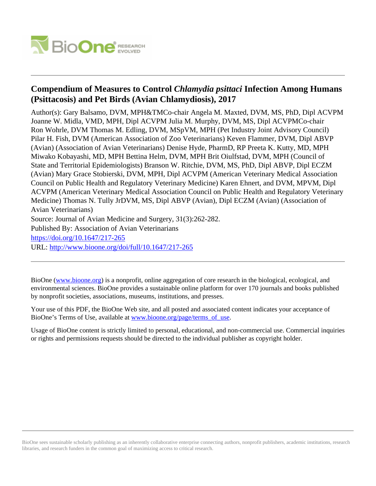

# **Compendium of Measures to Control** *Chlamydia psittaci* **Infection Among Humans (Psittacosis) and Pet Birds (Avian Chlamydiosis), 2017**

Author(s): Gary Balsamo, DVM, MPH&TMCo-chair Angela M. Maxted, DVM, MS, PhD, Dipl ACVPM Joanne W. Midla, VMD, MPH, Dipl ACVPM Julia M. Murphy, DVM, MS, Dipl ACVPMCo-chair Ron Wohrle, DVM Thomas M. Edling, DVM, MSpVM, MPH (Pet Industry Joint Advisory Council) Pilar H. Fish, DVM (American Association of Zoo Veterinarians) Keven Flammer, DVM, Dipl ABVP (Avian) (Association of Avian Veterinarians) Denise Hyde, PharmD, RP Preeta K. Kutty, MD, MPH Miwako Kobayashi, MD, MPH Bettina Helm, DVM, MPH Brit Oiulfstad, DVM, MPH (Council of State and Territorial Epidemiologists) Branson W. Ritchie, DVM, MS, PhD, Dipl ABVP, Dipl ECZM (Avian) Mary Grace Stobierski, DVM, MPH, Dipl ACVPM (American Veterinary Medical Association Council on Public Health and Regulatory Veterinary Medicine) Karen Ehnert, and DVM, MPVM, Dipl ACVPM (American Veterinary Medical Association Council on Public Health and Regulatory Veterinary Medicine) Thomas N. Tully JrDVM, MS, Dipl ABVP (Avian), Dipl ECZM (Avian) (Association of Avian Veterinarians)

Source: Journal of Avian Medicine and Surgery, 31(3):262-282.

Published By: Association of Avian Veterinarians

<https://doi.org/10.1647/217-265>

URL: <http://www.bioone.org/doi/full/10.1647/217-265>

BioOne [\(www.bioone.org\)](http://www.bioone.org) is a nonprofit, online aggregation of core research in the biological, ecological, and environmental sciences. BioOne provides a sustainable online platform for over 170 journals and books published by nonprofit societies, associations, museums, institutions, and presses.

Your use of this PDF, the BioOne Web site, and all posted and associated content indicates your acceptance of BioOne's Terms of Use, available at [www.bioone.org/page/terms\\_of\\_use.](http://www.bioone.org/page/terms_of_use)

Usage of BioOne content is strictly limited to personal, educational, and non-commercial use. Commercial inquiries or rights and permissions requests should be directed to the individual publisher as copyright holder.

BioOne sees sustainable scholarly publishing as an inherently collaborative enterprise connecting authors, nonprofit publishers, academic institutions, research libraries, and research funders in the common goal of maximizing access to critical research.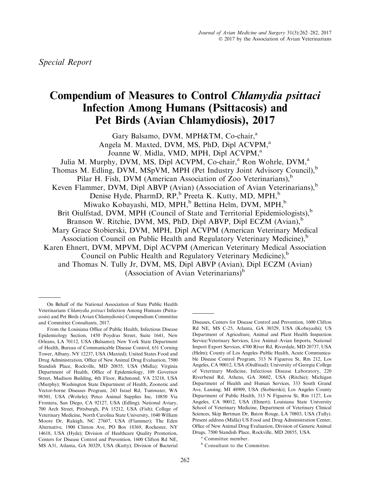# Compendium of Measures to Control Chlamydia psittaci Infection Among Humans (Psittacosis) and Pet Birds (Avian Chlamydiosis), 2017

Gary Balsamo, DVM, MPH&TM, Co-chair,<sup>a</sup> Angela M. Maxted, DVM, MS, PhD, Dipl ACVPM,<sup>a</sup> Joanne W. Midla, VMD, MPH, Dipl ACVPM,<sup>a</sup> Julia M. Murphy, DVM, MS, Dipl ACVPM, Co-chair,<sup>a</sup> Ron Wohrle, DVM,<sup>a</sup> Thomas M. Edling, DVM, MSpVM, MPH (Pet Industry Joint Advisory Council),<sup>b</sup> Pilar H. Fish, DVM (American Association of Zoo Veterinarians), $<sup>b</sup>$ </sup> Keven Flammer, DVM, Dipl ABVP (Avian) (Association of Avian Veterinarians), $<sup>b</sup>$ </sup> Denise Hyde, PharmD, RP,<sup>b</sup> Preeta K. Kutty, MD, MPH,<sup>b</sup> Miwako Kobayashi, MD, MPH,<sup>b</sup> Bettina Helm, DVM, MPH,<sup>b</sup> Brit Oiulfstad, DVM, MPH (Council of State and Territorial Epidemiologists), $<sup>b</sup>$ </sup> Branson W. Ritchie, DVM, MS, PhD, Dipl ABVP, Dipl ECZM (Avian),<sup>b</sup> Mary Grace Stobierski, DVM, MPH, Dipl ACVPM (American Veterinary Medical Association Council on Public Health and Regulatory Veterinary Medicine),<sup>b</sup> Karen Ehnert, DVM, MPVM, Dipl ACVPM (American Veterinary Medical Association Council on Public Health and Regulatory Veterinary Medicine),<sup>b</sup> and Thomas N. Tully Jr, DVM, MS, Dipl ABVP (Avian), Dipl ECZM (Avian) (Association of Avian Veterinarians) $<sup>b</sup>$ </sup>

Diseases, Centers for Disease Control and Prevention, 1600 Clifton Rd NE, MS C-25, Atlanta, GA 30329, USA (Kobayashi); US Department of Agriculture, Animal and Plant Health Inspection Service/Veterinary Services, Live Animal–Avian Imports, National Import Export Services, 4700 River Rd, Riverdale, MD 20737, USA (Helm); County of Los Angeles–Public Health, Acute Communicable Disease Control Program, 313 N Figueroa St, Rm 212, Los Angeles, CA 90012, USA (Oiulfstad); University of Georgia College of Veterinary Medicine, Infectious Disease Laboratory, 220 Riverbend Rd, Athens, GA 30602, USA (Ritchie); Michigan Department of Health and Human Services, 333 South Grand Ave, Lansing, MI 48909, USA (Stobierski); Los Angeles County Department of Public Health, 313 N Figueroa St, Rm 1127, Los Angeles, CA 90012, USA (Ehnert); Louisiana State University School of Veterinary Medicine, Department of Veterinary Clinical Sciences, Skip Bertman Dr, Baton Rouge, LA 70803, USA (Tully). Present address (Midla) US Food and Drug Administration Center, Office of New Animal Drug Evaluation, Division of Generic Animal Drugs, 7500 Standish Place, Rockville, MD 20855, USA.

<sup>b</sup> Consultant to the Committee.

On Behalf of the National Association of State Public Health Veterinarians Chlamydia psittaci Infection Among Humans (Psittacosis) and Pet Birds (Avian Chlamydiosis) Compendium Committee and Committee Consultants, 2017.

From the Louisiana Office of Public Health, Infectious Disease Epidemiology Section, 1450 Poydras Street, Suite 1641, New Orleans, LA 70112, USA (Balsamo); New York State Department of Health, Bureau of Communicable Disease Control, 651 Corning Tower, Albany, NY 12237, USA (Maxted); United States Food and Drug Administration, Office of New Animal Drug Evaluation, 7500 Standish Place, Rockville, MD 20855, USA (Midla); Virginia Department of Health, Office of Epidemiology, 109 Governor Street, Madison Building, 4th Floor, Richmond, VA 23218, USA (Murphy); Washington State Department of Health, Zoonotic and Vector-borne Diseases Program, 243 Israel Rd, Tumwater, WA 98501, USA (Wohrle); Petco Animal Supplies Inc, 10850 Via Frontera, San Diego, CA 92127, USA (Edling); National Aviary, 700 Arch Street, Pittsburgh, PA 15212, USA (Fish); College of Veterinary Medicine, North Carolina State University, 1040 William Moore Dr, Raleigh, NC 27607, USA (Flammer); The Eden Alternative, 1900 Clinton Ave, PO Box 18369, Rochester, NY 14618, USA (Hyde); Division of Healthcare Quality Promotion, Centers for Disease Control and Prevention, 1600 Clifton Rd NE, MS A31, Atlanta, GA 30329, USA (Kutty); Division of Bacterial

<sup>a</sup> Committee member.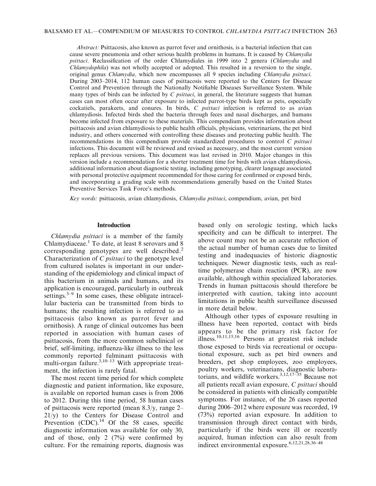Abstract: Psittacosis, also known as parrot fever and ornithosis, is a bacterial infection that can cause severe pneumonia and other serious health problems in humans. It is caused by *Chlamydia* psittaci. Reclassification of the order Chlamydiales in 1999 into 2 genera (Chlamydia and Chlamydophila) was not wholly accepted or adopted. This resulted in a reversion to the single, original genus Chlamydia, which now encompasses all 9 species including Chlamydia psittaci. During 2003–2014, 112 human cases of psittacosis were reported to the Centers for Disease Control and Prevention through the Nationally Notifiable Diseases Surveillance System. While many types of birds can be infected by  $C$  *psittaci*, in general, the literature suggests that human cases can most often occur after exposure to infected parrot-type birds kept as pets, especially cockatiels, parakeets, and conures. In birds, C psittaci infection is referred to as avian chlamydiosis. Infected birds shed the bacteria through feces and nasal discharges, and humans become infected from exposure to these materials. This compendium provides information about psittacosis and avian chlamydiosis to public health officials, physicians, veterinarians, the pet bird industry, and others concerned with controlling these diseases and protecting public health. The recommendations in this compendium provide standardized procedures to control  $C$  psittaci infections. This document will be reviewed and revised as necessary, and the most current version replaces all previous versions. This document was last revised in 2010. Major changes in this version include a recommendation for a shorter treatment time for birds with avian chlamydiosis, additional information about diagnostic testing, including genotyping, clearer language associated with personal protective equipment recommended for those caring for confirmed or exposed birds, and incorporating a grading scale with recommendations generally based on the United States Preventive Services Task Force's methods.

Key words: psittacosis, avian chlamydiosis, Chlamydia psittaci, compendium, avian, pet bird

#### Introduction

Chlamydia psittaci is a member of the family Chlamydiaceae.<sup>1</sup> To date, at least 8 serovars and 8 corresponding genotypes are well described.<sup>2</sup> Characterization of C psittaci to the genotype level from cultured isolates is important in our understanding of the epidemiology and clinical impact of this bacterium in animals and humans, and its application is encouraged, particularly in outbreak settings. $3-9$  In some cases, these obligate intracellular bacteria can be transmitted from birds to humans; the resulting infection is referred to as psittacosis (also known as parrot fever and ornithosis). A range of clinical outcomes has been reported in association with human cases of psittacosis, from the more common subclinical or brief, self-limiting, influenza-like illness to the less commonly reported fulminant psittacosis with multi-organ failure. $3,10-13$  With appropriate treatment, the infection is rarely fatal.

The most recent time period for which complete diagnostic and patient information, like exposure, is available on reported human cases is from 2006 to 2012. During this time period, 58 human cases of psittacosis were reported (mean 8.3/y, range 2– 21/y) to the Centers for Disease Control and Prevention  $(CDC)$ .<sup>14</sup> Of the 58 cases, specific diagnostic information was available for only 30, and of those, only 2 (7%) were confirmed by culture. For the remaining reports, diagnosis was based only on serologic testing, which lacks specificity and can be difficult to interpret. The above count may not be an accurate reflection of the actual number of human cases due to limited testing and inadequacies of historic diagnostic techniques. Newer diagnostic tests, such as realtime polymerase chain reaction (PCR), are now available, although within specialized laboratories. Trends in human psittacosis should therefore be interpreted with caution, taking into account limitations in public health surveillance discussed in more detail below.

Although other types of exposure resulting in illness have been reported, contact with birds appears to be the primary risk factor for illness.10,11,15,16 Persons at greatest risk include those exposed to birds via recreational or occupational exposure, such as pet bird owners and breeders, pet shop employees, zoo employees, poultry workers, veterinarians, diagnostic laboratorians, and wildlife workers. $^{3,12,17-35}$  Because not all patients recall avian exposure, C psittaci should be considered in patients with clinically compatible symptoms. For instance, of the 26 cases reported during 2006–2012 where exposure was recorded, 19 (73%) reported avian exposure. In addition to transmission through direct contact with birds, particularly if the birds were ill or recently acquired, human infection can also result from indirect environmental exposure.  $6,12,21,28,36-48$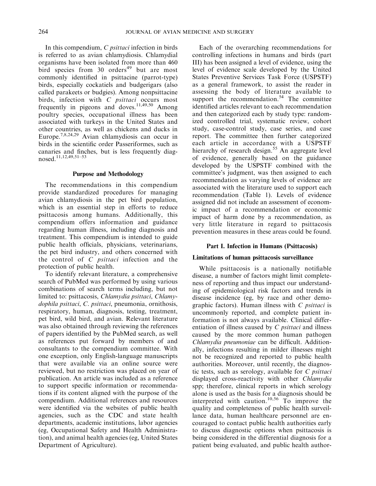In this compendium, C psittaci infection in birds is referred to as avian chlamydiosis. Chlamydial organisms have been isolated from more than 460 bird species from  $30$  orders<sup>49</sup> but are most commonly identified in psittacine (parrot-type) birds, especially cockatiels and budgerigars (also called parakeets or budgies). Among nonpsittacine birds, infection with C psittaci occurs most frequently in pigeons and doves.<sup>11,49,50</sup> Among poultry species, occupational illness has been associated with turkeys in the United States and other countries, as well as chickens and ducks in Europe.7,8,24,29 Avian chlamydiosis can occur in birds in the scientific order Passeriformes, such as canaries and finches, but is less frequently diagnosed.11,12,49,51–53

#### Purpose and Methodology

The recommendations in this compendium provide standardized procedures for managing avian chlamydiosis in the pet bird population, which is an essential step in efforts to reduce psittacosis among humans. Additionally, this compendium offers information and guidance regarding human illness, including diagnosis and treatment. This compendium is intended to guide public health officials, physicians, veterinarians, the pet bird industry, and others concerned with the control of  $C$  *psittaci* infection and the protection of public health.

To identify relevant literature, a comprehensive search of PubMed was performed by using various combinations of search terms including, but not limited to: psittacosis, Chlamydia psittaci, Chlamydophila psittaci, C. psittaci, pneumonia, ornithosis, respiratory, human, diagnosis, testing, treatment, pet bird, wild bird, and avian. Relevant literature was also obtained through reviewing the references of papers identified by the PubMed search, as well as references put forward by members of and consultants to the compendium committee. With one exception, only English-language manuscripts that were available via an online source were reviewed, but no restriction was placed on year of publication. An article was included as a reference to support specific information or recommendations if its content aligned with the purpose of the compendium. Additional references and resources were identified via the websites of public health agencies, such as the CDC and state health departments, academic institutions, labor agencies (eg, Occupational Safety and Health Administration), and animal health agencies (eg, United States Department of Agriculture).

Each of the overarching recommendations for controlling infections in humans and birds (part III) has been assigned a level of evidence, using the level of evidence scale developed by the United States Preventive Services Task Force (USPSTF) as a general framework, to assist the reader in assessing the body of literature available to support the recommendation. $54$  The committee identified articles relevant to each recommendation and then categorized each by study type: randomized controlled trial, systematic review, cohort study, case-control study, case series, and case report. The committee then further categorized each article in accordance with a USPSTF hierarchy of research design.<sup>55</sup> An aggregate level of evidence, generally based on the guidance developed by the USPSTF combined with the committee's judgment, was then assigned to each recommendation as varying levels of evidence are associated with the literature used to support each recommendation (Table 1). Levels of evidence assigned did not include an assessment of economic impact of a recommendation or economic impact of harm done by a recommendation, as very little literature in regard to psittacosis prevention measures in these areas could be found.

### Part I. Infection in Humans (Psittacosis)

#### Limitations of human psittacosis surveillance

While psittacosis is a nationally notifiable disease, a number of factors might limit completeness of reporting and thus impact our understanding of epidemiological risk factors and trends in disease incidence (eg, by race and other demographic factors). Human illness with C psittaci is uncommonly reported, and complete patient information is not always available. Clinical differentiation of illness caused by  $C$  *psittaci* and illness caused by the more common human pathogen Chlamydia pneumoniae can be difficult. Additionally, infections resulting in milder illnesses might not be recognized and reported to public health authorities. Moreover, until recently, the diagnostic tests, such as serology, available for C psittaci displayed cross-reactivity with other Chlamydia spp; therefore, clinical reports in which serology alone is used as the basis for a diagnosis should be interpreted with caution.<sup>10,56</sup> To improve the quality and completeness of public health surveillance data, human healthcare personnel are encouraged to contact public health authorities early to discuss diagnostic options when psittacosis is being considered in the differential diagnosis for a patient being evaluated, and public health author-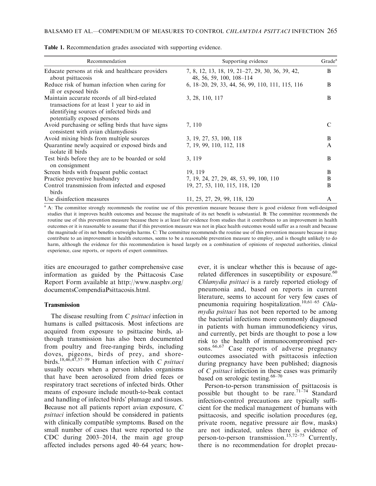| Recommendation                                                                                                                                                          | Supporting evidence                                                          | Grade <sup>a</sup> |
|-------------------------------------------------------------------------------------------------------------------------------------------------------------------------|------------------------------------------------------------------------------|--------------------|
| Educate persons at risk and healthcare providers<br>about psittacosis                                                                                                   | 7, 8, 12, 13, 18, 19, 21-27, 29, 30, 36, 39, 42,<br>48, 56, 59, 100, 108–114 | B                  |
| Reduce risk of human infection when caring for<br>ill or exposed birds                                                                                                  | 6, 18–20, 29, 33, 44, 56, 99, 110, 111, 115, 116                             | B                  |
| Maintain accurate records of all bird-related<br>transactions for at least 1 year to aid in<br>identifying sources of infected birds and<br>potentially exposed persons | 3, 28, 110, 117                                                              | B                  |
| Avoid purchasing or selling birds that have signs<br>consistent with avian chlamydiosis                                                                                 | 7, 110                                                                       | C                  |
| Avoid mixing birds from multiple sources                                                                                                                                | 3, 19, 27, 53, 100, 118                                                      | B                  |
| Quarantine newly acquired or exposed birds and<br>isolate ill birds                                                                                                     | 7, 19, 99, 110, 112, 118                                                     | $\mathsf{A}$       |
| Test birds before they are to be boarded or sold<br>on consignment                                                                                                      | 3, 119                                                                       | B                  |
| Screen birds with frequent public contact                                                                                                                               | 19, 119                                                                      | B                  |
| Practice preventive husbandry                                                                                                                                           | 7, 19, 24, 27, 29, 48, 53, 99, 100, 110                                      | B                  |
| Control transmission from infected and exposed<br>birds                                                                                                                 | 19, 27, 53, 110, 115, 118, 120                                               | B                  |
| Use disinfection measures                                                                                                                                               | 11, 25, 27, 29, 99, 118, 120                                                 | A                  |

Table 1. Recommendation grades associated with supporting evidence.

<sup>a</sup> A: The committee strongly recommends the routine use of this prevention measure because there is good evidence from well-designed studies that it improves health outcomes and because the magnitude of its net benefit is substantial. B: The committee recommends the routine use of this prevention measure because there is at least fair evidence from studies that it contributes to an improvement in health outcomes or it is reasonable to assume that if this prevention measure was not in place health outcomes would suffer as a result and because the magnitude of its net benefits outweighs harms. C: The committee recommends the routine use of this prevention measure because it may contribute to an improvement in health outcomes, seems to be a reasonable prevention measure to employ, and is thought unlikely to do harm, although the evidence for this recommendation is based largely on a combination of opinions of respected authorities, clinical experience, case reports, or reports of expert committees.

ities are encouraged to gather comprehensive case information as guided by the Psittacosis Case Report Form available at http://www.nasphv.org/ documentsCompendiaPsittacosis.html.

### Transmission

The disease resulting from C *psittaci* infection in humans is called psittacosis. Most infections are acquired from exposure to psittacine birds, although transmission has also been documented from poultry and free-ranging birds, including doves, pigeons, birds of prey, and shorebirds.<sup>18,46,47,57–59</sup> Human infection with C psittaci usually occurs when a person inhales organisms that have been aerosolized from dried feces or respiratory tract secretions of infected birds. Other means of exposure include mouth-to-beak contact and handling of infected birds' plumage and tissues. Because not all patients report avian exposure, C psittaci infection should be considered in patients with clinically compatible symptoms. Based on the small number of cases that were reported to the CDC during 2003–2014, the main age group affected includes persons aged 40–64 years; however, it is unclear whether this is because of agerelated differences in susceptibility or exposure.<sup>60</sup> Chlamydia psittaci is a rarely reported etiology of pneumonia and, based on reports in current literature, seems to account for very few cases of pneumonia requiring hospitalization.<sup>10,61–65</sup> Chlamydia psittaci has not been reported to be among the bacterial infections more commonly diagnosed in patients with human immunodeficiency virus, and currently, pet birds are thought to pose a low risk to the health of immunocompromised persons.<sup>66,67</sup> Case reports of adverse pregnancy outcomes associated with psittacosis infection during pregnancy have been published; diagnosis of C psittaci infection in these cases was primarily based on serologic testing.<sup>68-70</sup>

Person-to-person transmission of psittacosis is possible but thought to be rare.<sup>71-74</sup> Standard infection-control precautions are typically sufficient for the medical management of humans with psittacosis, and specific isolation procedures (eg, private room, negative pressure air flow, masks) are not indicated, unless there is evidence of person-to-person transmission.<sup>15,72–75</sup> Currently, there is no recommendation for droplet precau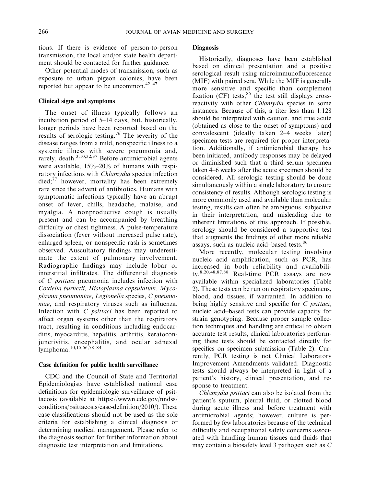tions. If there is evidence of person-to-person transmission, the local and/or state health department should be contacted for further guidance.

Other potential modes of transmission, such as exposure to urban pigeon colonies, have been reported but appear to be uncommon.42–47

### Clinical signs and symptoms

The onset of illness typically follows an incubation period of 5–14 days, but, historically, longer periods have been reported based on the results of serologic testing.<sup>76</sup> The severity of the disease ranges from a mild, nonspecific illness to a systemic illness with severe pneumonia and, rarely, death.<sup>3,10,32,37</sup> Before antimicrobial agents were available, 15%–20% of humans with respiratory infections with *Chlamydia* species infection  $\text{died};^{77}$  however, mortality has been extremely rare since the advent of antibiotics. Humans with symptomatic infections typically have an abrupt onset of fever, chills, headache, malaise, and myalgia. A nonproductive cough is usually present and can be accompanied by breathing difficulty or chest tightness. A pulse-temperature dissociation (fever without increased pulse rate), enlarged spleen, or nonspecific rash is sometimes observed. Auscultatory findings may underestimate the extent of pulmonary involvement. Radiographic findings may include lobar or interstitial infiltrates. The differential diagnosis of C psittaci pneumonia includes infection with Coxiella burnetii, Histoplasma capsulatum, Mycoplasma pneumoniae, Legionella species, C pneumoniae, and respiratory viruses such as influenza. Infection with C psittaci has been reported to affect organ systems other than the respiratory tract, resulting in conditions including endocarditis, myocarditis, hepatitis, arthritis, keratoconjunctivitis, encephalitis, and ocular adnexal lymphoma.10,15,56,78–84

### Case definition for public health surveillance

CDC and the Council of State and Territorial Epidemiologists have established national case definitions for epidemiologic surveillance of psittacosis (available at https://wwwn.cdc.gov/nndss/ conditions/psittacosis/case-definition/2010/). These case classifications should not be used as the sole criteria for establishing a clinical diagnosis or determining medical management. Please refer to the diagnosis section for further information about diagnostic test interpretation and limitations.

### **Diagnosis**

Historically, diagnoses have been established based on clinical presentation and a positive serological result using microimmunofluorescence (MIF) with paired sera. While the MIF is generally more sensitive and specific than complement fixation (CF) tests, $85$  the test still displays crossreactivity with other *Chlamydia* species in some instances. Because of this, a titer less than 1:128 should be interpreted with caution, and true acute (obtained as close to the onset of symptoms) and convalescent (ideally taken 2–4 weeks later) specimen tests are required for proper interpretation. Additionally, if antimicrobial therapy has been initiated, antibody responses may be delayed or diminished such that a third serum specimen taken 4–6 weeks after the acute specimen should be considered. All serologic testing should be done simultaneously within a single laboratory to ensure consistency of results. Although serologic testing is more commonly used and available than molecular testing, results can often be ambiguous, subjective in their interpretation, and misleading due to inherent limitations of this approach. If possible, serology should be considered a supportive test that augments the findings of other more reliable assays, such as nucleic acid–based tests.<sup>86</sup>

More recently, molecular testing involving nucleic acid amplification, such as PCR, has increased in both reliability and availability.<sup>8,20,48,87,88</sup> Real-time PCR assays are now available within specialized laboratories (Table 2). These tests can be run on respiratory specimens, blood, and tissues, if warranted. In addition to being highly sensitive and specific for C *psittaci*, nucleic acid–based tests can provide capacity for strain genotyping. Because proper sample collection techniques and handling are critical to obtain accurate test results, clinical laboratories performing these tests should be contacted directly for specifics on specimen submission (Table 2). Currently, PCR testing is not Clinical Laboratory Improvement Amendments validated. Diagnostic tests should always be interpreted in light of a patient's history, clinical presentation, and response to treatment.

Chlamydia psittaci can also be isolated from the patient's sputum, pleural fluid, or clotted blood during acute illness and before treatment with antimicrobial agents; however, culture is performed by few laboratories because of the technical difficulty and occupational safety concerns associated with handling human tissues and fluids that may contain a biosafety level 3 pathogen such as C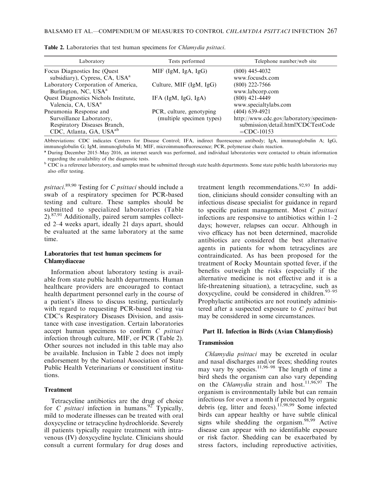| Laboratory                                                                                                                | Tests performed                                       | Telephone number/web site                                                                                        |
|---------------------------------------------------------------------------------------------------------------------------|-------------------------------------------------------|------------------------------------------------------------------------------------------------------------------|
| Focus Diagnostics Inc (Quest)<br>subsidiary), Cypress, CA, USA <sup>a</sup>                                               | MIF (IgM, IgA, IgG)                                   | (800) 445-4032<br>www.focusdx.com                                                                                |
| Laboratory Corporation of America,<br>Burlington, NC, USA <sup>a</sup>                                                    | Culture, MIF (IgM, IgG)                               | $(800)$ 222-7566<br>www.labcorp.com                                                                              |
| Quest Diagnostics Nichols Institute,<br>Valencia, CA, USA <sup>a</sup>                                                    | IFA $(IgM, IgG, IgA)$                                 | $(800)$ 421-4449<br>www.specialtylabs.com                                                                        |
| Pneumonia Response and<br>Surveillance Laboratory,<br>Respiratory Diseases Branch,<br>CDC, Atlanta, GA, USA <sup>ab</sup> | PCR, culture, genotyping<br>(multiple specimen types) | (404) 639-4921<br>http://www.cdc.gov/laboratory/specimen-<br>submission/detail.html?CDCTestCode<br>$=$ CDC-10153 |

Table 2. Laboratories that test human specimens for Chlamydia psittaci.

Abbreviations: CDC indicates Centers for Disease Control; IFA, indirect fluorescence antibody; IgA, immunoglobulin A; IgG, immunoglobulin G; IgM, immunoglobulin M; MIF, microimmunofluorescence; PCR, polymerase chain reaction.

<sup>a</sup> During December 2015–May 2016, an internet search was performed, and individual laboratories were contacted to obtain information regarding the availability of the diagnostic tests.

b CDC is a reference laboratory, and samples must be submitted through state health departments. Some state public health laboratories may also offer testing.

psittaci.<sup>89,90</sup> Testing for C psittaci should include a swab of a respiratory specimen for PCR-based testing and culture. These samples should be submitted to specialized laboratories (Table  $2)$ <sup>87,91</sup> Additionally, paired serum samples collected 2–4 weeks apart, ideally 21 days apart, should be evaluated at the same laboratory at the same time.

### Laboratories that test human specimens for Chlamydiaceae

Information about laboratory testing is available from state public health departments. Human healthcare providers are encouraged to contact health department personnel early in the course of a patient's illness to discuss testing, particularly with regard to requesting PCR-based testing via CDC's Respiratory Diseases Division, and assistance with case investigation. Certain laboratories accept human specimens to confirm C psittaci infection through culture, MIF, or PCR (Table 2). Other sources not included in this table may also be available. Inclusion in Table 2 does not imply endorsement by the National Association of State Public Health Veterinarians or constituent institutions.

#### Treatment

Tetracycline antibiotics are the drug of choice for C *psittaci* infection in humans.<sup>92</sup> Typically, mild to moderate illnesses can be treated with oral doxycycline or tetracycline hydrochloride. Severely ill patients typically require treatment with intravenous (IV) doxycycline hyclate. Clinicians should consult a current formulary for drug doses and

treatment length recommendations.<sup>92,93</sup> In addition, clinicians should consider consulting with an infectious disease specialist for guidance in regard to specific patient management. Most C psittaci infections are responsive to antibiotics within 1–2 days; however, relapses can occur. Although in vivo efficacy has not been determined, macrolide antibiotics are considered the best alternative agents in patients for whom tetracyclines are contraindicated. As has been proposed for the treatment of Rocky Mountain spotted fever, if the benefits outweigh the risks (especially if the alternative medicine is not effective and it is a life-threatening situation), a tetracycline, such as doxycycline, could be considered in children.<sup>93-95</sup> Prophylactic antibiotics are not routinely administered after a suspected exposure to  $C$  *psittaci* but may be considered in some circumstances.

### Part II. Infection in Birds (Avian Chlamydiosis)

### **Transmission**

Chlamydia psittaci may be excreted in ocular and nasal discharges and/or feces; shedding routes may vary by species.<sup>11,96–98</sup> The length of time a bird sheds the organism can also vary depending on the Chlamydia strain and host.<sup>11,96,97</sup> The organism is environmentally labile but can remain infectious for over a month if protected by organic debris (eg, litter and feces).11,98,99 Some infected birds can appear healthy or have subtle clinical signs while shedding the organism. $98,99$  Active disease can appear with no identifiable exposure or risk factor. Shedding can be exacerbated by stress factors, including reproductive activities,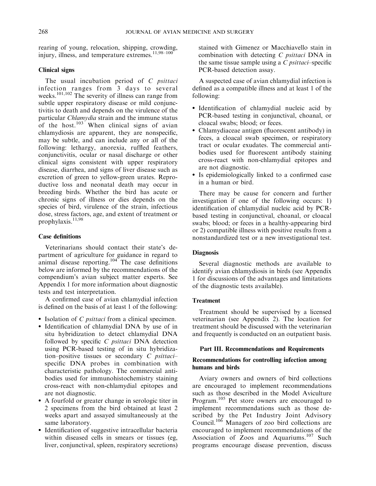rearing of young, relocation, shipping, crowding, injury, illness, and temperature extremes. $11,98-100$ 

### Clinical signs

The usual incubation period of  $C$  *psittaci* infection ranges from 3 days to several weeks.<sup>101,102</sup> The severity of illness can range from subtle upper respiratory disease or mild conjunctivitis to death and depends on the virulence of the particular Chlamydia strain and the immune status of the host.<sup>103</sup> When clinical signs of avian chlamydiosis are apparent, they are nonspecific, may be subtle, and can include any or all of the following: lethargy, anorexia, ruffled feathers, conjunctivitis, ocular or nasal discharge or other clinical signs consistent with upper respiratory disease, diarrhea, and signs of liver disease such as excretion of green to yellow-green urates. Reproductive loss and neonatal death may occur in breeding birds. Whether the bird has acute or chronic signs of illness or dies depends on the species of bird, virulence of the strain, infectious dose, stress factors, age, and extent of treatment or prophylaxis.<sup>11,98</sup>

# Case definitions

Veterinarians should contact their state's department of agriculture for guidance in regard to animal disease reporting.<sup>104</sup> The case definitions below are informed by the recommendations of the compendium's avian subject matter experts. See Appendix 1 for more information about diagnostic tests and test interpretation.

A confirmed case of avian chlamydial infection is defined on the basis of at least 1 of the following:

- Isolation of *C psittaci* from a clinical specimen.
- Identification of chlamydial DNA by use of in situ hybridization to detect chlamydial DNA followed by specific C psittaci DNA detection using PCR-based testing of in situ hybridization–positive tissues or secondary  $C$  *psittaci*– specific DNA probes in combination with characteristic pathology. The commercial antibodies used for immunohistochemistry staining cross-react with non-chlamydial epitopes and are not diagnostic.
- A fourfold or greater change in serologic titer in 2 specimens from the bird obtained at least 2 weeks apart and assayed simultaneously at the same laboratory.
- Identification of suggestive intracellular bacteria within diseased cells in smears or tissues (eg, liver, conjunctival, spleen, respiratory secretions)

stained with Gimenez or Macchiavello stain in combination with detecting C psittaci DNA in the same tissue sample using a  $C$  *psittaci*–specific PCR-based detection assay.

A suspected case of avian chlamydial infection is defined as a compatible illness and at least 1 of the following:

- Identification of chlamydial nucleic acid by PCR-based testing in conjunctival, choanal, or cloacal swabs; blood; or feces.
- Chlamydiaceae antigen (fluorescent antibody) in feces, a cloacal swab specimen, or respiratory tract or ocular exudates. The commercial antibodies used for fluorescent antibody staining cross-react with non-chlamydial epitopes and are not diagnostic.
- Is epidemiologically linked to a confirmed case in a human or bird.

There may be cause for concern and further investigation if one of the following occurs: 1) identification of chlamydial nucleic acid by PCRbased testing in conjunctival, choanal, or cloacal swabs; blood; or feces in a healthy-appearing bird or 2) compatible illness with positive results from a nonstandardized test or a new investigational test.

# **Diagnosis**

Several diagnostic methods are available to identify avian chlamydiosis in birds (see Appendix 1 for discussions of the advantages and limitations of the diagnostic tests available).

### Treatment

Treatment should be supervised by a licensed veterinarian (see Appendix 2). The location for treatment should be discussed with the veterinarian and frequently is conducted on an outpatient basis.

### Part III. Recommendations and Requirements

# Recommendations for controlling infection among humans and birds

Aviary owners and owners of bird collections are encouraged to implement recommendations such as those described in the Model Aviculture Program.<sup>105</sup> Pet store owners are encouraged to implement recommendations such as those described by the Pet Industry Joint Advisory Council.106 Managers of zoo bird collections are encouraged to implement recommendations of the Association of Zoos and Aquariums.<sup>107</sup> Such programs encourage disease prevention, discuss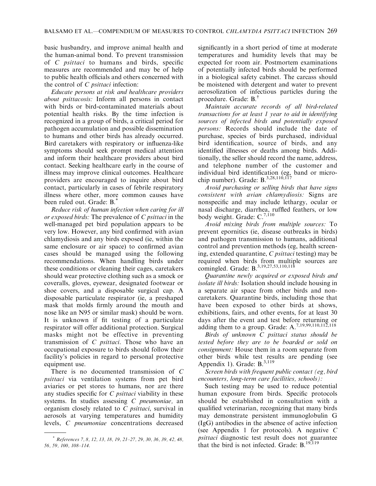basic husbandry, and improve animal health and the human-animal bond. To prevent transmission of C psittaci to humans and birds, specific measures are recommended and may be of help to public health officials and others concerned with the control of  $C$  *psittaci* infection:

Educate persons at risk and healthcare providers about psittacosis: Inform all persons in contact with birds or bird-contaminated materials about potential health risks. By the time infection is recognized in a group of birds, a critical period for pathogen accumulation and possible dissemination to humans and other birds has already occurred. Bird caretakers with respiratory or influenza-like symptoms should seek prompt medical attention and inform their healthcare providers about bird contact. Seeking healthcare early in the course of illness may improve clinical outcomes. Healthcare providers are encouraged to inquire about bird contact, particularly in cases of febrile respiratory illness where other, more common causes have been ruled out. Grade: B.\*

Reduce risk of human infection when caring for ill or exposed birds: The prevalence of C psittaci in the well-managed pet bird population appears to be very low. However, any bird confirmed with avian chlamydiosis and any birds exposed (ie, within the same enclosure or air space) to confirmed avian cases should be managed using the following recommendations. When handling birds under these conditions or cleaning their cages, caretakers should wear protective clothing such as a smock or coveralls, gloves, eyewear, designated footwear or shoe covers, and a disposable surgical cap. A disposable particulate respirator (ie, a preshaped mask that molds firmly around the mouth and nose like an N95 or similar mask) should be worn. It is unknown if fit testing of a particulate respirator will offer additional protection. Surgical masks might not be effective in preventing transmission of C psittaci. Those who have an occupational exposure to birds should follow their facility's policies in regard to personal protective equipment use.

There is no documented transmission of C psittaci via ventilation systems from pet bird aviaries or pet stores to humans, nor are there any studies specific for  $C$  *psittaci* viability in these systems. In studies assessing C pneumoniae, an organism closely related to C psittaci, survival in aerosols at varying temperatures and humidity levels, C pneumoniae concentrations decreased significantly in a short period of time at moderate temperatures and humidity levels that may be expected for room air. Postmortem examinations of potentially infected birds should be performed in a biological safety cabinet. The carcass should be moistened with detergent and water to prevent aerosolization of infectious particles during the procedure. Grade: B.†

Maintain accurate records of all bird-related transactions for at least 1 year to aid in identifying sources of infected birds and potentially exposed persons: Records should include the date of purchase, species of birds purchased, individual bird identification, source of birds, and any identified illnesses or deaths among birds. Additionally, the seller should record the name, address, and telephone number of the customer and individual bird identification (eg, band or microchip number). Grade: B.<sup>3,28,110,117</sup>

Avoid purchasing or selling birds that have signs consistent with avian chlamydiosis: Signs are nonspecific and may include lethargy, ocular or nasal discharge, diarrhea, ruffled feathers, or low body weight. Grade: C.<sup>7,110</sup>

Avoid mixing birds from multiple sources: To prevent epornitics (ie, disease outbreaks in birds) and pathogen transmission to humans, additional control and prevention methods (eg, health screening, extended quarantine, C psittaci testing) may be required when birds from multiple sources are comingled. Grade: B.<sup>3,19,27,53,110,118</sup>

Quarantine newly acquired or exposed birds and isolate ill birds: Isolation should include housing in a separate air space from other birds and noncaretakers. Quarantine birds, including those that have been exposed to other birds at shows, exhibitions, fairs, and other events, for at least 30 days after the event and test before returning or adding them to a group. Grade:  $A^{7,19,99,110,112,118}_{\dots}$ 

Birds of unknown C psittaci status should be tested before they are to be boarded or sold on consignment: House them in a room separate from other birds while test results are pending (see Appendix 1). Grade:  $B^{3,119}$ 

Screen birds with frequent public contact (eg, bird encounters, long-term care facilities, schools):

Such testing may be used to reduce potential human exposure from birds. Specific protocols should be established in consultation with a qualified veterinarian, recognizing that many birds may demonstrate persistent immunoglobulin G (IgG) antibodies in the absence of active infection (see Appendix 1 for protocols). A negative C psittaci diagnostic test result does not guarantee that the bird is not infected. Grade:  $B$ ,  $19,119$ 

<sup>\*</sup> References 7, 8, 12, 13, 18, 19, 21–27, 29, 30, 36, 39, 42, 48, 56, 59, 100, 108–114.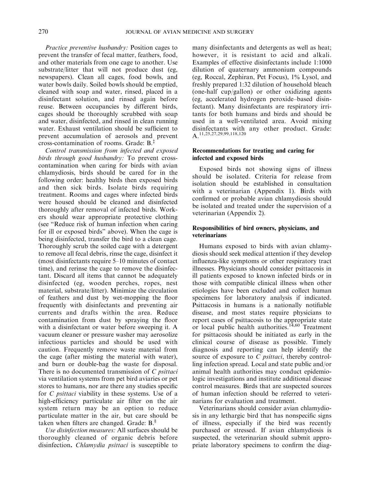Practice preventive husbandry: Position cages to prevent the transfer of fecal matter, feathers, food, and other materials from one cage to another. Use substrate/litter that will not produce dust (eg, newspapers). Clean all cages, food bowls, and water bowls daily. Soiled bowls should be emptied, cleaned with soap and water, rinsed, placed in a disinfectant solution, and rinsed again before reuse. Between occupancies by different birds, cages should be thoroughly scrubbed with soap and water, disinfected, and rinsed in clean running water. Exhaust ventilation should be sufficient to prevent accumulation of aerosols and prevent cross-contamination of rooms. Grade: B.‡

Control transmission from infected and exposed birds through good husbandry: To prevent crosscontamination when caring for birds with avian chlamydiosis, birds should be cared for in the following order: healthy birds then exposed birds and then sick birds. Isolate birds requiring treatment. Rooms and cages where infected birds were housed should be cleaned and disinfected thoroughly after removal of infected birds. Workers should wear appropriate protective clothing (see ''Reduce risk of human infection when caring for ill or exposed birds'' above). When the cage is being disinfected, transfer the bird to a clean cage. Thoroughly scrub the soiled cage with a detergent to remove all fecal debris, rinse the cage, disinfect it (most disinfectants require 5–10 minutes of contact time), and rerinse the cage to remove the disinfectant. Discard all items that cannot be adequately disinfected (eg, wooden perches, ropes, nest material, substrate/litter). Minimize the circulation of feathers and dust by wet-mopping the floor frequently with disinfectants and preventing air currents and drafts within the area. Reduce contamination from dust by spraying the floor with a disinfectant or water before sweeping it. A vacuum cleaner or pressure washer may aerosolize infectious particles and should be used with caution. Frequently remove waste material from the cage (after misting the material with water), and burn or double-bag the waste for disposal. There is no documented transmission of C *psittaci* via ventilation systems from pet bird aviaries or pet stores to humans, nor are there any studies specific for *C psittaci* viability in these systems. Use of a high-efficiency particulate air filter on the air system return may be an option to reduce particulate matter in the air, but care should be taken when filters are changed. Grade:  $B^{\S}$ .

Use disinfection measures: All surfaces should be thoroughly cleaned of organic debris before disinfection. Chlamydia psittaci is susceptible to

many disinfectants and detergents as well as heat; however, it is resistant to acid and alkali. Examples of effective disinfectants include 1:1000 dilution of quaternary ammonium compounds (eg, Roccal, Zephiran, Pet Focus), 1% Lysol, and freshly prepared 1:32 dilution of household bleach (one-half cup/gallon) or other oxidizing agents (eg, accelerated hydrogen peroxide–based disinfectant). Many disinfectants are respiratory irritants for both humans and birds and should be used in a well-ventilated area. Avoid mixing disinfectants with any other product. Grade: A.11,25,27,29,99,118,120

### Recommendations for treating and caring for infected and exposed birds

Exposed birds not showing signs of illness should be isolated. Criteria for release from isolation should be established in consultation with a veterinarian (Appendix 1). Birds with confirmed or probable avian chlamydiosis should be isolated and treated under the supervision of a veterinarian (Appendix 2).

## Responsibilities of bird owners, physicians, and veterinarians

Humans exposed to birds with avian chlamydiosis should seek medical attention if they develop influenza-like symptoms or other respiratory tract illnesses. Physicians should consider psittacosis in ill patients exposed to known infected birds or in those with compatible clinical illness when other etiologies have been excluded and collect human specimens for laboratory analysis if indicated. Psittacosis in humans is a nationally notifiable disease, and most states require physicians to report cases of psittacosis to the appropriate state or local public health authorities.<sup>14,60</sup> Treatment for psittacosis should be initiated as early in the clinical course of disease as possible. Timely diagnosis and reporting can help identify the source of exposure to C *psittaci*, thereby controlling infection spread. Local and state public and/or animal health authorities may conduct epidemiologic investigations and institute additional disease control measures. Birds that are suspected sources of human infection should be referred to veterinarians for evaluation and treatment.

Veterinarians should consider avian chlamydiosis in any lethargic bird that has nonspecific signs of illness, especially if the bird was recently purchased or stressed. If avian chlamydiosis is suspected, the veterinarian should submit appropriate laboratory specimens to confirm the diag-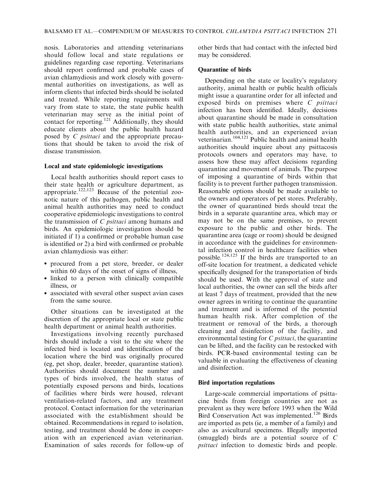nosis. Laboratories and attending veterinarians should follow local and state regulations or guidelines regarding case reporting. Veterinarians should report confirmed and probable cases of avian chlamydiosis and work closely with governmental authorities on investigations, as well as inform clients that infected birds should be isolated and treated. While reporting requirements will vary from state to state, the state public health veterinarian may serve as the initial point of contact for reporting.<sup>121</sup> Additionally, they should educate clients about the public health hazard posed by C psittaci and the appropriate precautions that should be taken to avoid the risk of disease transmission.

### Local and state epidemiologic investigations

Local health authorities should report cases to their state health or agriculture department, as appropriate.<sup>122,123</sup> Because of the potential zoonotic nature of this pathogen, public health and animal health authorities may need to conduct cooperative epidemiologic investigations to control the transmission of C psittaci among humans and birds. An epidemiologic investigation should be initiated if 1) a confirmed or probable human case is identified or 2) a bird with confirmed or probable avian chlamydiosis was either:

- procured from a pet store, breeder, or dealer within 60 days of the onset of signs of illness,
- linked to a person with clinically compatible illness, or
- associated with several other suspect avian cases from the same source.

Other situations can be investigated at the discretion of the appropriate local or state public health department or animal health authorities.

Investigations involving recently purchased birds should include a visit to the site where the infected bird is located and identification of the location where the bird was originally procured (eg, pet shop, dealer, breeder, quarantine station). Authorities should document the number and types of birds involved, the health status of potentially exposed persons and birds, locations of facilities where birds were housed, relevant ventilation-related factors, and any treatment protocol. Contact information for the veterinarian associated with the establishment should be obtained. Recommendations in regard to isolation, testing, and treatment should be done in cooperation with an experienced avian veterinarian. Examination of sales records for follow-up of other birds that had contact with the infected bird may be considered.

# Quarantine of birds

Depending on the state or locality's regulatory authority, animal health or public health officials might issue a quarantine order for all infected and exposed birds on premises where C *psittaci* infection has been identified. Ideally, decisions about quarantine should be made in consultation with state public health authorities, state animal health authorities, and an experienced avian veterinarian.104,121 Public health and animal health authorities should inquire about any psittacosis protocols owners and operators may have, to assess how these may affect decisions regarding quarantine and movement of animals. The purpose of imposing a quarantine of birds within that facility is to prevent further pathogen transmission. Reasonable options should be made available to the owners and operators of pet stores. Preferably, the owner of quarantined birds should treat the birds in a separate quarantine area, which may or may not be on the same premises, to prevent exposure to the public and other birds. The quarantine area (cage or room) should be designed in accordance with the guidelines for environmental infection control in healthcare facilities when possible.<sup>124,125</sup> If the birds are transported to an off-site location for treatment, a dedicated vehicle specifically designed for the transportation of birds should be used. With the approval of state and local authorities, the owner can sell the birds after at least 7 days of treatment, provided that the new owner agrees in writing to continue the quarantine and treatment and is informed of the potential human health risk. After completion of the treatment or removal of the birds, a thorough cleaning and disinfection of the facility, and environmental testing for C *psittaci*, the quarantine can be lifted, and the facility can be restocked with birds. PCR-based environmental testing can be valuable in evaluating the effectiveness of cleaning and disinfection.

# Bird importation regulations

Large-scale commercial importations of psittacine birds from foreign countries are not as prevalent as they were before 1993 when the Wild Bird Conservation Act was implemented.<sup>126</sup> Birds are imported as pets (ie, a member of a family) and also as avicultural specimens. Illegally imported (smuggled) birds are a potential source of C psittaci infection to domestic birds and people.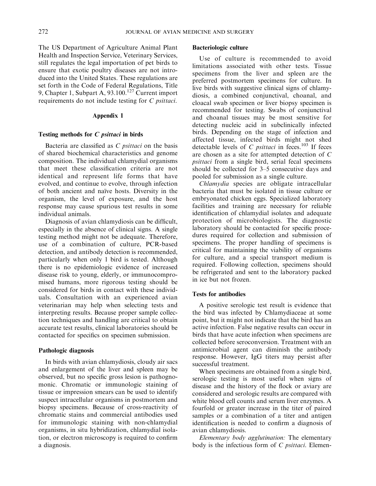The US Department of Agriculture Animal Plant Health and Inspection Service, Veterinary Services, still regulates the legal importation of pet birds to ensure that exotic poultry diseases are not introduced into the United States. These regulations are set forth in the Code of Federal Regulations, Title 9, Chapter 1, Subpart A,  $93.100<sup>127</sup>$  Current import requirements do not include testing for C psittaci.

### Appendix 1

### Testing methods for C psittaci in birds

Bacteria are classified as  $C$  *psittaci* on the basis of shared biochemical characteristics and genome composition. The individual chlamydial organisms that meet these classification criteria are not identical and represent life forms that have evolved, and continue to evolve, through infection of both ancient and na¨ıve hosts. Diversity in the organism, the level of exposure, and the host response may cause spurious test results in some individual animals.

Diagnosis of avian chlamydiosis can be difficult, especially in the absence of clinical signs. A single testing method might not be adequate. Therefore, use of a combination of culture, PCR-based detection, and antibody detection is recommended, particularly when only 1 bird is tested. Although there is no epidemiologic evidence of increased disease risk to young, elderly, or immunocompromised humans, more rigorous testing should be considered for birds in contact with these individuals. Consultation with an experienced avian veterinarian may help when selecting tests and interpreting results. Because proper sample collection techniques and handling are critical to obtain accurate test results, clinical laboratories should be contacted for specifics on specimen submission.

### Pathologic diagnosis

In birds with avian chlamydiosis, cloudy air sacs and enlargement of the liver and spleen may be observed, but no specific gross lesion is pathognomonic. Chromatic or immunologic staining of tissue or impression smears can be used to identify suspect intracellular organisms in postmortem and biopsy specimens. Because of cross-reactivity of chromatic stains and commercial antibodies used for immunologic staining with non-chlamydial organisms, in situ hybridization, chlamydial isolation, or electron microscopy is required to confirm a diagnosis.

### Bacteriologic culture

Use of culture is recommended to avoid limitations associated with other tests. Tissue specimens from the liver and spleen are the preferred postmortem specimens for culture. In live birds with suggestive clinical signs of chlamydiosis, a combined conjunctival, choanal, and cloacal swab specimen or liver biopsy specimen is recommended for testing. Swabs of conjunctival and choanal tissues may be most sensitive for detecting nucleic acid in subclinically infected birds. Depending on the stage of infection and affected tissue, infected birds might not shed detectable levels of C *psittaci* in feces.<sup>103</sup> If feces are chosen as a site for attempted detection of C psittaci from a single bird, serial fecal specimens should be collected for 3–5 consecutive days and pooled for submission as a single culture.

Chlamydia species are obligate intracellular bacteria that must be isolated in tissue culture or embryonated chicken eggs. Specialized laboratory facilities and training are necessary for reliable identification of chlamydial isolates and adequate protection of microbiologists. The diagnostic laboratory should be contacted for specific procedures required for collection and submission of specimens. The proper handling of specimens is critical for maintaining the viability of organisms for culture, and a special transport medium is required. Following collection, specimens should be refrigerated and sent to the laboratory packed in ice but not frozen.

### Tests for antibodies

A positive serologic test result is evidence that the bird was infected by Chlamydiaceae at some point, but it might not indicate that the bird has an active infection. False negative results can occur in birds that have acute infection when specimens are collected before seroconversion. Treatment with an antimicrobial agent can diminish the antibody response. However, IgG titers may persist after successful treatment.

When specimens are obtained from a single bird, serologic testing is most useful when signs of disease and the history of the flock or aviary are considered and serologic results are compared with white blood cell counts and serum liver enzymes. A fourfold or greater increase in the titer of paired samples or a combination of a titer and antigen identification is needed to confirm a diagnosis of avian chlamydiosis.

Elementary body agglutination: The elementary body is the infectious form of  $C$  *psittaci*. Elemen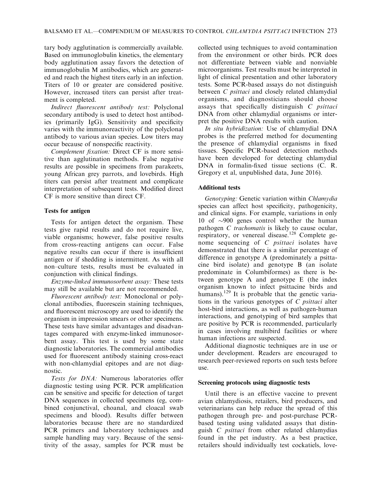tary body agglutination is commercially available. Based on immunoglobulin kinetics, the elementary body agglutination assay favors the detection of immunoglobulin M antibodies, which are generated and reach the highest titers early in an infection. Titers of 10 or greater are considered positive. However, increased titers can persist after treatment is completed.

Indirect fluorescent antibody test: Polyclonal secondary antibody is used to detect host antibodies (primarily IgG). Sensitivity and specificity varies with the immunoreactivity of the polyclonal antibody to various avian species. Low titers may occur because of nonspecific reactivity.

Complement fixation: Direct CF is more sensitive than agglutination methods. False negative results are possible in specimens from parakeets, young African grey parrots, and lovebirds. High titers can persist after treatment and complicate interpretation of subsequent tests. Modified direct CF is more sensitive than direct CF.

# Tests for antigen

Tests for antigen detect the organism. These tests give rapid results and do not require live, viable organisms; however, false positive results from cross-reacting antigens can occur. False negative results can occur if there is insufficient antigen or if shedding is intermittent. As with all non–culture tests, results must be evaluated in conjunction with clinical findings.

Enzyme-linked immunosorbent assay: These tests may still be available but are not recommended.

Fluorescent antibody test: Monoclonal or polyclonal antibodies, fluorescein staining techniques, and fluorescent microscopy are used to identify the organism in impression smears or other specimens. These tests have similar advantages and disadvantages compared with enzyme-linked immunosorbent assay. This test is used by some state diagnostic laboratories. The commercial antibodies used for fluorescent antibody staining cross-react with non-chlamydial epitopes and are not diagnostic.

Tests for DNA: Numerous laboratories offer diagnostic testing using PCR. PCR amplification can be sensitive and specific for detection of target DNA sequences in collected specimens (eg, combined conjunctival, choanal, and cloacal swab specimens and blood). Results differ between laboratories because there are no standardized PCR primers and laboratory techniques and sample handling may vary. Because of the sensitivity of the assay, samples for PCR must be collected using techniques to avoid contamination from the environment or other birds. PCR does not differentiate between viable and nonviable microorganisms. Test results must be interpreted in light of clinical presentation and other laboratory tests. Some PCR-based assays do not distinguish between *C psittaci* and closely related chlamydial organisms, and diagnosticians should choose assays that specifically distinguish C psittaci DNA from other chlamydial organisms or interpret the positive DNA results with caution.

In situ hybridization: Use of chlamydial DNA probes is the preferred method for documenting the presence of chlamydial organisms in fixed tissues. Specific PCR-based detection methods have been developed for detecting chlamydial DNA in formalin-fixed tissue sections (C. R. Gregory et al, unpublished data, June 2016).

# Additional tests

Genotyping: Genetic variation within Chlamydia species can affect host specificity, pathogenicity, and clinical signs. For example, variations in only 10 of  $\sim$ 900 genes control whether the human pathogen *C* trachomatis is likely to cause ocular, respiratory, or venereal disease.<sup>128</sup> Complete genome sequencing of C psittaci isolates have demonstrated that there is a similar percentage of difference in genotype A (predominately a psittacine bird isolate) and genotype B (an isolate predominate in Columbiformes) as there is between genotype A and genotype E (the index organism known to infect psittacine birds and humans).<sup>129</sup> It is probable that the genetic variations in the various genotypes of  $C$  *psittaci* alter host-bird interactions, as well as pathogen-human interactions, and genotyping of bird samples that are positive by PCR is recommended, particularly in cases involving multibird facilities or where human infections are suspected.

Additional diagnostic techniques are in use or under development. Readers are encouraged to research peer-reviewed reports on such tests before use.

### Screening protocols using diagnostic tests

Until there is an effective vaccine to prevent avian chlamydiosis, retailers, bird producers, and veterinarians can help reduce the spread of this pathogen through pre- and post-purchase PCRbased testing using validated assays that distinguish C psittaci from other related chlamydias found in the pet industry. As a best practice, retailers should individually test cockatiels, love-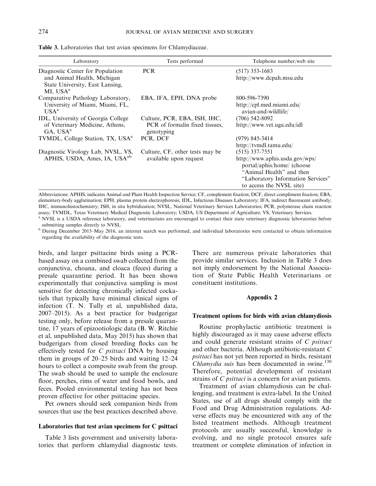| Laboratory                                                                                         | Tests performed                                                              | Telephone number/web site                                                                                                                                                     |
|----------------------------------------------------------------------------------------------------|------------------------------------------------------------------------------|-------------------------------------------------------------------------------------------------------------------------------------------------------------------------------|
| Diagnostic Center for Population<br>and Animal Health, Michigan<br>State University, East Lansing, | <b>PCR</b>                                                                   | $(517)$ 353-1683<br>http://www.dcpah.msu.edu                                                                                                                                  |
| MI, USA <sup>a</sup><br>Comparative Pathology Laboratory,                                          | EBA, IFA, EPH, DNA probe                                                     | 800-596-7390                                                                                                                                                                  |
| University of Miami, Miami, FL,<br>USA <sup>a</sup>                                                |                                                                              | http://cpl.med.miami.edu/<br>avian-and-wildlife/                                                                                                                              |
| IDL, University of Georgia College<br>of Veterinary Medicine, Athens,<br>GA, USA <sup>a</sup>      | Culture, PCR, EBA, ISH, IHC,<br>PCR of formalin fixed tissues,<br>genotyping | $(706)$ 542-8092<br>http://www.vet.uga.edu/idl                                                                                                                                |
| TVMDL, College Station, TX, USA <sup>a</sup>                                                       | PCR, DCF                                                                     | $(979)$ 845-3414<br>http://tvmdl.tamu.edu/                                                                                                                                    |
| Diagnostic Virology Lab, NVSL, VS,<br>APHIS, USDA, Ames, IA, USA <sup>ab</sup>                     | Culture, CF, other tests may be<br>available upon request                    | $(515)$ 337-7551<br>http://www.aphis.usda.gov/wps/<br>portal/aphis/home/ (choose<br>"Animal Health" and then<br>"Laboratory Information Services"<br>to access the NVSL site) |

Table 3. Laboratories that test avian specimens for Chlamydiaceae.

Abbreviations: APHIS, indicates Animal and Plant Health Inspection Service; CF, complement fixation; DCF, direct compliment fixation; EBA, elementary-body agglutination; EPH, plasma protein electrophoresis; IDL, Infectious Diseases Laboratory; IFA, indirect fluorescent antibody; IHC, immunohistochemistry; ISH, in situ hybridization; NVSL, National Veterinary Services Laboratories; PCR, polymerase chain reaction assay; TVMDL, Texas Veterinary Medical Diagnostic Laboratory; USDA, US Department of Agriculture; VS, Veterinary Services. <sup>a</sup> NVSL is a USDA reference laboratory, and veterinarians are encouraged to contact their state veterinary diagnostic laboratories before

submitting samples directly to NVSL.

<sup>b</sup> During December 2015–May 2016, an internet search was performed, and individual laboratories were contacted to obtain information regarding the availability of the diagnostic tests.

birds, and larger psittacine birds using a PCRbased assay on a combined swab collected from the conjunctiva, choana, and cloaca (feces) during a presale quarantine period. It has been shown experimentally that conjunctiva sampling is most sensitive for detecting chronically infected cockatiels that typically have minimal clinical signs of infection (T. N. Tully et al, unpublished data, 2007–2015). As a best practice for budgerigar testing only, before release from a presale quarantine, 17 years of epizootiologic data (B. W. Ritchie et al, unpublished data, May 2015) has shown that budgerigars from closed breeding flocks can be effectively tested for  $C$  *psittaci* DNA by housing them in groups of 20–25 birds and waiting 12–24 hours to collect a composite swab from the group. The swab should be used to sample the enclosure floor, perches, rims of water and food bowls, and feces. Pooled environmental testing has not been proven effective for other psittacine species.

Pet owners should seek companion birds from sources that use the best practices described above.

### Laboratories that test avian specimens for C psittaci

Table 3 lists government and university laboratories that perform chlamydial diagnostic tests. There are numerous private laboratories that provide similar services. Inclusion in Table 3 does not imply endorsement by the National Association of State Public Health Veterinarians or constituent institutions.

### Appendix 2

#### Treatment options for birds with avian chlamydiosis

Routine prophylactic antibiotic treatment is highly discouraged as it may cause adverse effects and could generate resistant strains of C psittaci and other bacteria. Although antibiotic-resistant C psittaci has not yet been reported in birds, resistant Chlamydia suis has been documented in swine. $130$ Therefore, potential development of resistant strains of *C psittaci* is a concern for avian patients.

Treatment of avian chlamydiosis can be challenging, and treatment is extra-label. In the United States, use of all drugs should comply with the Food and Drug Administration regulations. Adverse effects may be encountered with any of the listed treatment methods. Although treatment protocols are usually successful, knowledge is evolving, and no single protocol ensures safe treatment or complete elimination of infection in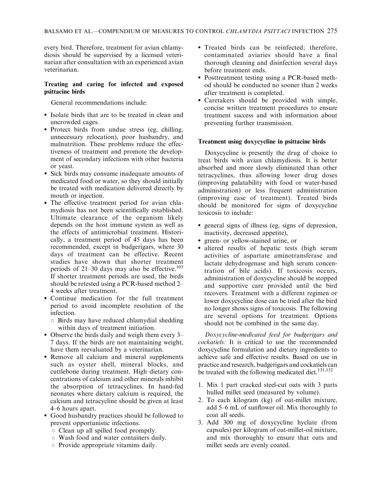every bird. Therefore, treatment for avian chlamydiosis should be supervised by a licensed veterinarian after consultation with an experienced avian veterinarian.

# Treating and caring for infected and exposed psittacine birds

General recommendations include:

- Isolate birds that are to be treated in clean and uncrowded cages.
- Protect birds from undue stress (eg, chilling, unnecessary relocation), poor husbandry, and malnutrition. These problems reduce the effectiveness of treatment and promote the development of secondary infections with other bacteria or yeast.
- Sick birds may consume inadequate amounts of medicated food or water, so they should initially be treated with medication delivered directly by mouth or injection.
- The effective treatment period for avian chlamydiosis has not been scientifically established. Ultimate clearance of the organism likely depends on the host immune system as well as the effects of antimicrobial treatment. Historically, a treatment period of 45 days has been recommended, except in budgerigars, where 30 days of treatment can be effective. Recent studies have shown that shorter treatment periods of  $21-30$  days may also be effective.<sup>103</sup> If shorter treatment periods are used, the birds should be retested using a PCR-based method 2– 4 weeks after treatment.
- Continue medication for the full treatment period to avoid incomplete resolution of the infection.
	- $\circ$  Birds may have reduced chlamydial shedding within days of treatment initiation.
- Observe the birds daily and weigh them every 3– 7 days. If the birds are not maintaining weight, have them reevaluated by a veterinarian.
- Remove all calcium and mineral supplements such as oyster shell, mineral blocks, and cuttlebone during treatment. High dietary concentrations of calcium and other minerals inhibit the absorption of tetracyclines. In hand-fed neonates where dietary calcium is required, the calcium and tetracycline should be given at least 4–6 hours apart.
- Good husbandry practices should be followed to prevent opportunistic infections.
	- $\circ$  Clean up all spilled food promptly.
	- $\circ$  Wash food and water containers daily.
	- $\circ$  Provide appropriate vitamins daily.
- Treated birds can be reinfected; therefore, contaminated aviaries should have a final thorough cleaning and disinfection several days before treatment ends.
- Posttreatment testing using a PCR-based method should be conducted no sooner than 2 weeks after treatment is completed.
- Caretakers should be provided with simple, concise written treatment procedures to ensure treatment success and with information about preventing further transmission.

# Treatment using doxycycline in psittacine birds

Doxycycline is presently the drug of choice to treat birds with avian chlamydiosis. It is better absorbed and more slowly eliminated than other tetracyclines, thus allowing lower drug doses (improving palatability with food or water-based administration) or less frequent administration (improving ease of treatment). Treated birds should be monitored for signs of doxycycline toxicosis to include:

- general signs of illness (eg, signs of depression, inactivity, decreased appetite),
- green- or yellow-stained urine, or
- altered results of hepatic tests (high serum activities of aspartate aminotransferase and lactate dehydrogenase and high serum concentration of bile acids). If toxicosis occurs, administration of doxycycline should be stopped and supportive care provided until the bird recovers. Treatment with a different regimen or lower doxycycline dose can be tried after the bird no longer shows signs of toxicosis. The following are several options for treatment. Options should not be combined in the same day.

Doxycycline-medicated feed for budgerigars and cockatiels: It is critical to use the recommended doxycycline formulation and dietary ingredients to achieve safe and effective results. Based on use in practice and research, budgerigars and cockatiels can be treated with the following medicated diet.<sup>131,132</sup>

- 1. Mix 1 part cracked steel-cut oats with 3 parts hulled millet seed (measured by volume).
- 2. To each kilogram (kg) of oat-millet mixture, add 5–6 mL of sunflower oil. Mix thoroughly to coat all seeds.
- 3. Add 300 mg of doxycycline hyclate (from capsules) per kilogram of oat-millet-oil mixture, and mix thoroughly to ensure that oats and millet seeds are evenly coated.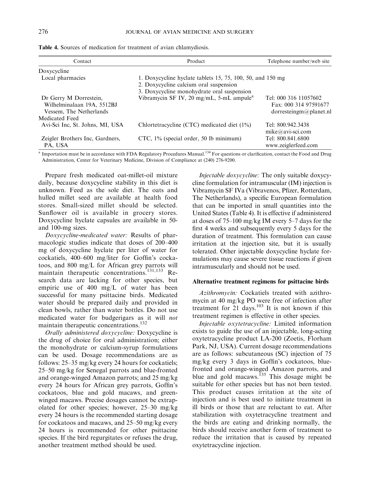| Contact                                                                         | Product                                                                                                                                            | Telephone number/web site                                                |
|---------------------------------------------------------------------------------|----------------------------------------------------------------------------------------------------------------------------------------------------|--------------------------------------------------------------------------|
| Doxycycline                                                                     |                                                                                                                                                    |                                                                          |
| Local pharmacies                                                                | 1. Doxycycline hyclate tablets 15, 75, 100, 50, and 150 mg<br>2. Doxycycline calcium oral suspension<br>3. Doxycycline monohydrate oral suspension |                                                                          |
| Dr Gerry M Dorrestein,<br>Wilhelminalaan 19A, 5512BJ<br>Vessem, The Netherlands | Vibramycin SF IV, 20 mg/mL, 5-mL ampule <sup>a</sup>                                                                                               | Tel: 000 316 11057602<br>Fax: 000 314 97591677<br>dorresteingm@planet.nl |
| Medicated Feed                                                                  |                                                                                                                                                    |                                                                          |
| Avi-Sci Inc, St. Johns, MI, USA                                                 | Chlortetracycline (CTC) medicated diet (1%)                                                                                                        | Tel: 800.942.3438<br>$mike@avi-sci.com$                                  |
| Zeigler Brothers Inc, Gardners,<br>PA, USA                                      | CTC, 1% (special order, 50 lb minimum)                                                                                                             | Tel: 800.841.6800<br>www.zeiglerfeed.com                                 |

Table 4. Sources of medication for treatment of avian chlamydiosis.

<sup>a</sup> Importation must be in accordance with FDA Regulatory Procedures Manual.<sup>134</sup> For questions or clarification, contact the Food and Drug Administration, Center for Veterinary Medicine, Division of Compliance at (240) 276-9200.

Prepare fresh medicated oat-millet-oil mixture daily, because doxycycline stability in this diet is unknown. Feed as the sole diet. The oats and hulled millet seed are available at health food stores. Small-sized millet should be selected. Sunflower oil is available in grocery stores. Doxycycline hyclate capsules are available in 50 and 100-mg sizes.

Doxycycline-medicated water: Results of pharmacologic studies indicate that doses of 200–400 mg of doxycycline hyclate per liter of water for cockatiels, 400–600 mg/liter for Goffin's cockatoos, and 800 mg/L for African grey parrots will maintain therapeutic concentrations.<sup>131,133</sup> Research data are lacking for other species, but empiric use of 400 mg/L of water has been successful for many psittacine birds. Medicated water should be prepared daily and provided in clean bowls, rather than water bottles. Do not use medicated water for budgerigars as it will not maintain therapeutic concentrations.132

Orally administered doxycycline: Doxycycline is the drug of choice for oral administration; either the monohydrate or calcium-syrup formulations can be used. Dosage recommendations are as follows: 25–35 mg/kg every 24 hours for cockatiels; 25–50 mg/kg for Senegal parrots and blue-fronted and orange-winged Amazon parrots; and 25 mg/kg every 24 hours for African grey parrots, Goffin's cockatoos, blue and gold macaws, and greenwinged macaws. Precise dosages cannot be extrapolated for other species; however, 25–30 mg/kg every 24 hours is the recommended starting dosage for cockatoos and macaws, and 25–50 mg/kg every 24 hours is recommended for other psittacine species. If the bird regurgitates or refuses the drug, another treatment method should be used.

Injectable doxycycline: The only suitable doxycycline formulation for intramuscular (IM) injection is Vibramycin SF IVa (Vibravenos, Pfizer, Rotterdam, The Netherlands), a specific European formulation that can be imported in small quantities into the United States (Table 4). It is effective if administered at doses of 75–100 mg/kg IM every 5–7 days for the first 4 weeks and subsequently every 5 days for the duration of treatment. This formulation can cause irritation at the injection site, but it is usually tolerated. Other injectable doxycycline hyclate formulations may cause severe tissue reactions if given intramuscularly and should not be used.

#### Alternative treatment regimens for psittacine birds

Azithromycin: Cockatiels treated with azithromycin at 40 mg/kg PO were free of infection after treatment for  $21$  days.<sup>103</sup> It is not known if this treatment regimen is effective in other species.

Injectable oxytetracycline: Limited information exists to guide the use of an injectable, long-acting oxytetracycline product LA-200 (Zoetis, Florham Park, NJ, USA). Current dosage recommendations are as follows: subcutaneous (SC) injection of 75 mg/kg every 3 days in Goffin's cockatoos, bluefronted and orange-winged Amazon parrots, and blue and gold macaws.<sup>135</sup> This dosage might be suitable for other species but has not been tested. This product causes irritation at the site of injection and is best used to initiate treatment in ill birds or those that are reluctant to eat. After stabilization with oxytetracycline treatment and the birds are eating and drinking normally, the birds should receive another form of treatment to reduce the irritation that is caused by repeated oxytetracycline injection.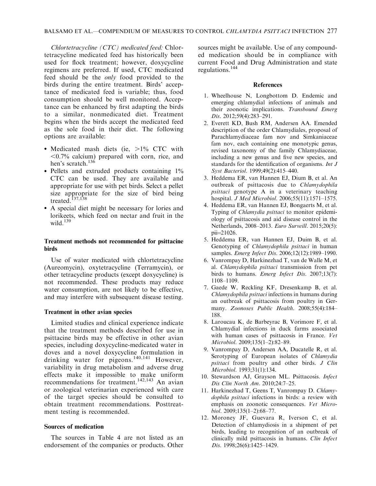Chlortetracycline (CTC) medicated feed: Chlortetracycline medicated feed has historically been used for flock treatment; however, doxycycline regimens are preferred. If used, CTC medicated feed should be the only food provided to the birds during the entire treatment. Birds' acceptance of medicated feed is variable; thus, food consumption should be well monitored. Acceptance can be enhanced by first adapting the birds to a similar, nonmedicated diet. Treatment begins when the birds accept the medicated feed as the sole food in their diet. The following options are available:

- Medicated mash diets (ie, >1% CTC with  $\leq 0.7\%$  calcium) prepared with corn, rice, and hen's scratch.<sup>136</sup>
- Pellets and extruded products containing 1% CTC can be used. They are available and appropriate for use with pet birds. Select a pellet size appropriate for the size of bird being treated.<sup>137,138</sup>
- A special diet might be necessary for lories and lorikeets, which feed on nectar and fruit in the wild. $139$

### Treatment methods not recommended for psittacine birds

Use of water medicated with chlortetracycline (Aureomycin), oxytetracycline (Terramycin), or other tetracycline products (except doxycycline) is not recommended. These products may reduce water consumption, are not likely to be effective, and may interfere with subsequent disease testing.

#### Treatment in other avian species

Limited studies and clinical experience indicate that the treatment methods described for use in psittacine birds may be effective in other avian species, including doxycycline-medicated water in doves and a novel doxycycline formulation in drinking water for pigeons.<sup>140,141</sup> However, variability in drug metabolism and adverse drug effects make it impossible to make uniform recommendations for treatment.<sup>142,143</sup> An avian or zoological veterinarian experienced with care of the target species should be consulted to obtain treatment recommendations. Posttreatment testing is recommended.

#### Sources of medication

The sources in Table 4 are not listed as an endorsement of the companies or products. Other sources might be available. Use of any compounded medication should be in compliance with current Food and Drug Administration and state regulations.<sup>144</sup>

#### References

- 1. Wheelhouse N, Longbottom D. Endemic and emerging chlamydial infections of animals and their zoonotic implications. Transbound Emerg Dis. 2012;59(4):283–291.
- 2. Everett KD, Bush RM, Andersen AA. Emended description of the order Chlamydiales, proposal of Parachlamydiaceae fam nov and Simkaniaceae fam nov, each containing one monotypic genus, revised taxonomy of the family Chlamydiaceae, including a new genus and five new species, and standards for the identification of organisms. Int J Syst Bacteriol. 1999;49(2):415-440.
- 3. Heddema ER, van Hannen EJ, Dium B, et al. An outbreak of psittacosis due to Chlamydophila psittaci genotype A in a veterinary teaching hospital. J Med Microbiol. 2006;55(11):1571–1575.
- 4. Heddema ER, van Hannen EJ, Bongaerts M, et al. Typing of *Chlamydia psittaci* to monitor epidemiology of psittacosis and aid disease control in the Netherlands, 2008–2013. Euro Surveill. 2015;20(5):  $pi=21026$ .
- 5. Heddema ER, van Hannen EJ, Duim B, et al. Genotyping of Chlamydophila psittaci in human samples. Emerg Infect Dis. 2006;12(12):1989-1990.
- 6. Vanrompay D, Harkinezhad T, van de Walle M, et al. Chlamydophila psittaci transmission from pet birds to humans. Emerg Infect Dis. 2007;13(7): 1108–1109.
- 7. Gaede W, Reckling KF, Dresenkamp B, et al. Chlamydophila psittaci infections in humans during an outbreak of psittacosis from poultry in Germany. Zoonoses Public Health. 2008;55(4):184– 188.
- 8. Laroucau K, de Barbeyrac B, Vorimore F, et al. Chlamydial infections in duck farms associated with human cases of psittacosis in France. Vet Microbiol. 2009;135(1–2):82–89.
- 9. Vanrompay D, Andersen AA, Ducatelle R, et al. Serotyping of European isolates of Chlamydia psittaci from poultry and other birds. J Clin Microbiol. 1993;31(1):134.
- 10. Stewardson AJ, Grayson ML. Psittacosis. Infect Dis Clin North Am. 2010;24:7–25.
- 11. Harkinezhad T, Geens T, Vanrompay D. Chlamydophila psittaci infections in birds: a review with emphasis on zoonotic consequences. Vet Microbiol. 2009;135(1–2):68–77.
- 12. Moroney JF, Guevara R, Iverson C, et al. Detection of chlamydiosis in a shipment of pet birds, leading to recognition of an outbreak of clinically mild psittacosis in humans. Clin Infect Dis. 1998;26(6):1425-1429.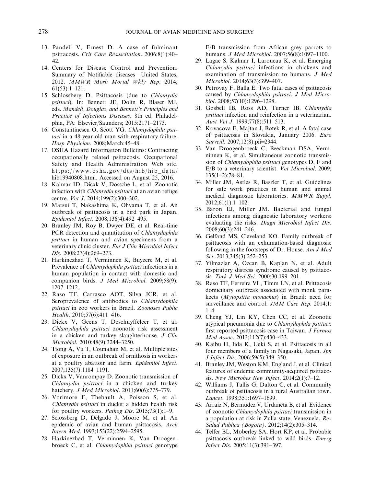- 13. Pandeli V, Ernest D. A case of fulminant psittacosis. Crit Care Resuscitation. 2006;8(1):40– 42.
- 14. Centers for Disease Control and Prevention. Summary of Notifiable diseases—United States, 2012. MMWR Morb Mortal Wkly Rep. 2014; 61(53):1–121.
- 15. Schlossberg D. Psittacosis (due to Chlamydia psittaci). In: Bennett JE, Dolin R, Blaser MJ, eds. Mandell, Douglas, and Bennett's Principles and Practice of Infectious Diseases. 8th ed. Philadelphia, PA: Elsevier/Saunders; 2015:2171–2173.
- 16. Constantinescu O, Scott YG. Chlamydophila psittaci in a 48-year-old man with respiratory failure. Hosp Physician. 2008;March:45–48.
- 17. OSHA Hazard Information Bulletins: Contracting occupationally related psittacosis. Occupational Safety and Health Administration Web site. https://www.osha.gov/dts/hib/hib\_data/ hib19940808.html. Accessed on August 25, 2016.
- 18. Kalmar ID, Dicxk V, Dossche L, et al. Zoonotic infection with Chlamydia psittaci at an avian refuge centre. Vet J. 2014;199(2):300–302.
- 19. Matsui T, Nakashima K, Ohyama T, et al. An outbreak of psittacosis in a bird park in Japan. Epidemiol Infect. 2008;136(4):492–495.
- 20. Branley JM, Roy B, Dwyer DE, et al. Real-time PCR detection and quantitation of *Chlamydophila* psittaci in human and avian specimens from a veterinary clinic cluster. Eur J Clin Microbiol Infect Dis. 2008;27(4):269–273.
- 21. Harkinezhad T, Verminnen K, Buyzere M, et al. Prevalence of Chlamydophila psittaci infections in a human population in contact with domestic and companion birds. J Med Microbiol. 2009;58(9): 1207–1212.
- 22. Raso TF, Carrasco AOT, Silva JCR, et al. Seroprevalence of antibodies to *Chlamydophila* psittaci in zoo workers in Brazil. Zoonoses Public Health. 2010;57(6):411–416.
- 23. Dickx V, Geens T, Deschuyffeleer T, et al. Chlamydophila psittaci zoonotic risk assessment in a chicken and turkey slaughterhouse. J Clin Microbiol. 2010;48(9):3244–3250.
- 24. Tiong A, Vu T, Counahan M, et al. Multiple sites of exposure in an outbreak of ornithosis in workers at a poultry abattoir and farm. Epidemiol Infect. 2007;135(7):1184–1191.
- 25. Dickx V, Vanrompay D. Zoonotic transmission of Chlamydia psittaci in a chicken and turkey hatchery. J Med Microbiol. 2011;60(6):775–779.
- 26. Vorimore F, Thebault A, Poisson S, et al. Chlamydia psittaci in ducks: a hidden health risk for poultry workers. *Pathog Dis.* 2015;73(1):1–9.
- 27. Sclossberg D, Delgado J, Moore M, et al. An epidemic of avian and human psittacosis. Arch Intern Med. 1993;153(22):2594–2595.
- 28. Harkinezhad T, Verminnen K, Van Droogenbroeck C, et al. Chlamydophila psittaci genotype

E/B transmission from African grey parrots to humans. J Med Microbiol. 2007;56(8):1097–1100.

- 29. Lagae S, Kalmar I, Laroucau K, et al. Emerging Chlamydia psittaci infections in chickens and examination of transmission to humans. J Med Microbiol. 2014;63(3):399–407.
- 30. Petrovay F, Balla E. Two fatal cases of psittacosis caused by Chlamydophila psittaci. J Med Microbiol. 2008;57(10):1296–1298.
- 31. Gosbell IB, Ross AD, Turner IB. Chlamydia psittaci infection and reinfection in a veterinarian. Aust Vet J. 1999;77(8):511–513.
- 32. Kovacova E, Majtan J, Botek R, et al. A fatal case of psittacosis in Slovakia, January 2006. Euro Surveill. 2007;12(8):pii=2344.
- 33. Van Droogenbroeck C, Beeckman DSA, Vermninnen K, et al. Simultaneous zoonotic transmission of Chlamydophila psittaci genotypes D, F and E/B to a veterinary scientist. Vet Microbiol. 2009; 135(1–2):78–81.
- 34. Miller JM, Astles R, Baszler T, et al. Guidelines for safe work practices in human and animal medical diagnostic laboratories. MMWR Suppl. 2012;61(1):1–102.
- 35. Baron EJ, Miller JM. Bacterial and fungal infections among diagnostic laboratory workers: evaluating the risks. Diagn Microbiol Infect Dis. 2008;60(3):241–246.
- 36. Gelfand MS, Cleveland KO. Family outbreak of psittacosis with an exhumation-based diagnosis: following in the footsteps of Dr. House. Am J Med Sci. 2013;345(3):252-253.
- 37. Yilmazlar A, Ozcan B, Kaplan N, et al. Adult respiratory distress syndrome caused by psittacosis. Turk J Med Sci. 2000;30:199–201.
- 38. Raso TF, Ferreira VL, Timm LN, et al. Psittacosis domiciliary outbreak associated with monk parakeets (Myiopsitta monachus) in Brazil: need for surveillance and control. JMM Case Rep. 2014;1: 1–4.
- 39. Cheng YJ, Lin KY, Chen CC, et al. Zoonotic atypical pneumonia due to Chlamydophila psittaci: first reported psittacosis case in Taiwan. J Formos Med Assoc. 2013;112(7):430–433.
- 40. Kaibu H, Iida K, Ueki S, et al. Psittacosis in all four members of a family in Nagasaki, Japan. Jpn J Infect Dis. 2006;59(5):349–350.
- 41. Branley JM, Weston KM, England J, et al. Clinical features of endemic community-acquired psittacosis. New Microbes New Infect. 2014;2(1):7–12.
- 42. Williams J, Tallis G, Dalton C, et al. Community outbreak of psittacosis in a rural Australian town. Lancet. 1998;351:1697–1699.
- 43. Arraiz N, Bermudez V, Urdaneta B, et al. Evidence of zoonotic Chlamydophila psittaci transmission in a population at risk in Zulia state, Venezuela. Rev Salud Publica (Bogota). 2012;14(2):305–314.
- 44. Telfer BL, Moberley SA, Hort KP, et al. Probable psittacosis outbreak linked to wild birds. Emerg Infect Dis. 2005;11(3):391–397.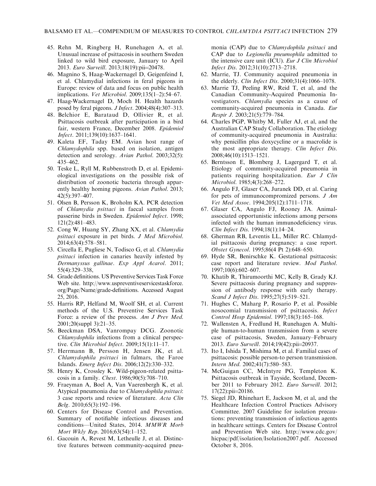- 45. Rehn M, Ringberg H, Runehagen A, et al. Unusual increase of psittacosis in southern Sweden linked to wild bird exposure, January to April 2013. Euro Surveill. 2013;18(19):pii=20478.
- 46. Magnino S, Haag-Wackernagel D, Geigenfeind I, et al. Chlamydial infections in feral pigeons in Europe: review of data and focus on public health implications. Vet Microbiol. 2009;135(1–2):54–67.
- 47. Haag-Wackernagel D, Moch H. Health hazards posed by feral pigeons. J Infect. 2004;48(4):307–313.
- 48. Belchior E, Barataud D, Ollivier R, et al. Psittacosis outbreak after participation in a bird fair, western France, December 2008. Epidemiol Infect. 2011;139(10):1637–1641.
- 49. Kaleta EF, Taday EM. Avian host range of Chlamydophila spp. based on isolation, antigen detection and serology. Avian Pathol. 2003;32(5): 435–462.
- 50. Teske L, Ryll M, Rubbenstroth D, et al. Epidemiological investigations on the possible risk of distribution of zoonotic bacteria through apparently healthy homing pigeons. Avian Pathol. 2013; 42(5):397–407.
- 51. Olsen B, Persson K, Broholm KA. PCR detection of Chlamydia psittaci in faecal samples from passerine birds in Sweden. Epidemiol Infect. 1998; 121(2):481–483.
- 52. Cong W, Huang SY, Zhang XX, et al. Chlamydia psittaci exposure in pet birds. J Med Microbiol. 2014;63(4):578–581.
- 53. Circella E, Pugliese N, Todisco G, et al. Chlamydia psittaci infection in canaries heavily infested by Dermanyssus gallinae. Exp Appl Acarol. 2011; 55(4):329–338,
- 54. Grade definitions. US Preventive Services Task Force Web site. http://www.uspreventiveservicestaskforce. org/Page/Name/grade-definitions. Accessed August 25, 2016.
- 55. Harris RP, Helfand M, Woolf SH, et al. Current methods of the U.S. Preventive Services Task Force: a review of the process. Am J Prev Med. 2001;20(suppl 3):21–35.
- 56. Beeckman DSA, Vanrompay DCG. Zoonotic Chlamydophila infections from a clinical perspective. Clin Microbiol Infect. 2009;15(1):11–17.
- 57. Herrmann B, Persson H, Jensen JK, et al. Chlamydophila psittaci in fulmars, the Faroe Islands. Emerg Infect Dis. 2006;12(2):330–332.
- 58. Henry K, Crossley K. Wild-pigeon-related psittacosis in a family. Chest. 1986;90(5):708–710.
- 59. Fraeyman A, Boel A, Van Vaerenbergh K, et al. Atypical pneumonia due to Chlamydophila psittaci: 3 case reports and review of literature. Acta Clin Belg. 2010;65(3):192–196.
- 60. Centers for Disease Control and Prevention. Summary of notifiable infectious diseases and conditions—United States, 2014. MMWR Morb Mort Wkly Rep. 2016;63(54):1–152.
- 61. Gacouin A, Revest M, Letheulle J, et al. Distinctive features between community-acquired pneu-

monia (CAP) due to Chlamydophila psittaci and CAP due to Legionella pneumophila admitted to the intensive care unit (ICU). Eur J Clin Microbiol Infect Dis. 2012;31(10):2713–2718.

- 62. Marrie, TJ. Community acquired pneumonia in the elderly. Clin Infect Dis. 2000;31(4):1066–1078.
- 63. Marrie TJ, Peeling RW, Reid T, et al, and the Canadian Community-Acquired Pneumonia Investigators. Chlamydia species as a cause of community-acquired pneumonia in Canada. Eur Respir J. 2003;21(5):779–784.
- 64. Charles PGP, Whitby M, Fuller AJ, et al, and the Australian CAP Study Collaboration. The etiology of community-acquired pneumonia in Australia: why penicillin plus doxycycline or a macrolide is the most appropriate therapy. Clin Infect Dis. 2008;46(10):1513–1521.
- 65. Berntsson E, Blomberg J, Lagergard T, et al. Etiology of community-acquired pneumonia in patients requiring hospitalization. Eur J Clin Microbiol. 1985;4(3):268–272.
- 66. Angulo FJ, Glaser CA, Juranek DD, et al. Caring for pets of immunocompromized persons. J Am Vet Med Assoc. 1994;205(12):1711–1718.
- 67. Glaser CA, Angulo FJ, Rooney JA. Animalassociated opportunistic infections among persons infected with the human immunodeficiency virus. Clin Infect Dis. 1994;18(1):14–24.
- 68. Gherman RB, Leventis LL, Miller RC. Chlamydial psittacosis during pregnancy: a case report. Obstet Gynecol. 1995;86(4 Pt 2):648–650.
- 69. Hyde SR, Benirschke K. Gestational psittacosis: case report and literature review. Mod Pathol. 1997;10(6):602–607.
- 70. Khatib R, Thirumoorthi MC, Kelly B, Grady KJ. Severe psittacosis during pregnancy and suppression of antibody response with early therapy. Scand J Infect Dis. 1995;27(5):519-521.
- 71. Hughes C, Maharg P, Rosario P, et al. Possible nosocomial transmission of psittacosis. Infect Control Hosp Epidemiol. 1997;18(3):165–168.
- 72. Wallensten A, Fredlund H, Runehagen A. Multiple human-to-human transmission from a severe case of psittacosis, Sweden, January–February 2013. Euro Surveill. 2014;19(42):pii=20937.
- 73. Ito I, Ishida T, Mishima M, et al. Familial cases of psittacosis: possible person-to person transmission. Intern Med. 2002;41(7):580–583.
- 74. McGuigan CC, McIntyre PG, Templeton K. Psittacosis outbreak in Tayside, Scotland, December 2011 to February 2012. Euro Surveill. 2012;  $17(22):pii=20186$ .
- 75. Siegel JD, Rhinehart E, Jackson M, et al, and the Healthcare Infection Control Practices Advisory Committee. 2007 Guideline for isolation precautions: preventing transmission of infectious agents in healthcare settings. Centers for Disease Control and Prevention Web site. http://www.cdc.gov/ hicpac/pdf/isolation/Isolation2007.pdf. Accessed October 8, 2016.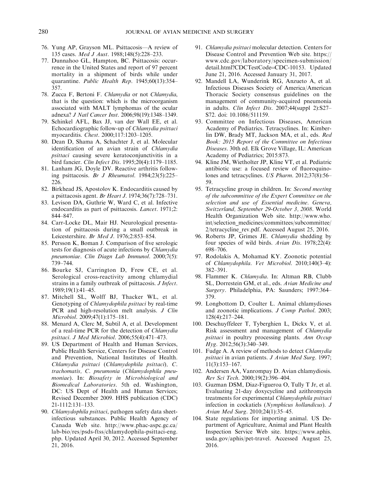- 76. Yung AP, Grayson ML. Psittacosis—A review of 135 cases. Med J Aust. 1988;148(5):228–233.
- 77. Dunnahoo GL, Hampton, BC. Psittacosis: occurrence in the United States and report of 97 percent mortality in a shipment of birds while under quarantine. Public Health Rep. 1945;60(13):354– 357.
- 78. Zucca F, Bertoni F. Chlamydia or not Chlamydia, that is the question: which is the microorganism associated with MALT lymphomas of the ocular adnexa? J Natl Cancer Inst. 2006;98(19):1348–1349.
- 79. Schinkel AFL, Bax JJ, van der Wall EE, et al. Echocardiographic follow-up of Chlamydia psittaci myocarditis. Chest. 2000;117:1203–1205.
- 80. Dean D, Shama A, Schachter J, et al. Molecular identification of an avian strain of Chlamydia psittaci causing severe keratoconjunctivitis in a bird fancier. Clin Infect Dis. 1995;20(4):1179–1185.
- 81. Lanham JG, Doyle DV. Reactive arthritis following psittacosis. Br J Rheumatol. 1984;23(5):225– 226.
- 82. Birkhead JS, Apostolov K. Endocarditis caused by a psittacosis agent. Br Heart J. 1974;36(7):728–731.
- 83. Levison DA, Guthrie W, Ward C, et al. Infective endocarditis as part of psittacosis. Lancet. 1971;2: 844–847.
- 84. Carr-Locke DL, Mair HJ. Neurological presentation of psittacosis during a small outbreak in Leicestershire. Br Med J. 1976;2:853–854.
- 85. Persson K, Boman J. Comparison of five serologic tests for diagnosis of acute infections by Chlamydia pneumoniae. Clin Diagn Lab Immunol. 2000;7(5): 739–744.
- 86. Bourke SJ, Carrington D, Frew CE, et al. Serological cross-reactivity among chlamydial strains in a family outbreak of psittacosis. J Infect. 1989;19(1):41–45.
- 87. Mitchell SL, Wolff BJ, Thacker WL, et al. Genotyping of Chlamydophila psittaci by real-time PCR and high-resolution melt analysis. J Clin Microbiol. 2009;47(1):175–181.
- 88. Menard A, Clerc M, Subtil A, et al. Development of a real-time PCR for the detection of Chlamydia psittaci. J Med Microbiol. 2006;55(4):471–473.
- 89. US Department of Health and Human Services, Public Health Service, Centers for Disease Control and Prevention, National Institutes of Health. Chlamydia psittaci (Chlamydophila psittaci), C. trachomatis, C. pneumonia (Chlamydophila pneumoniae). In: Biosafety in Microbiological and Biomedical Laboratories. 5th ed. Washington, DC: US Dept of Health and Human Services; Revised December 2009. HHS publication (CDC) 21-1112:131–133.
- 90. Chlamydophila psittaci, pathogen safety data sheetinfectious substances. Public Health Agency of Canada Web site. http://www.phac-aspc.gc.ca/ lab-bio/res/psds-ftss/chlamydophila-psittaci-eng. php. Updated April 30, 2012. Accessed September 21, 2016.
- 91. Chlamydia psittaci molecular detection. Centers for Disease Control and Prevention Web site. https:// www.cdc.gov/laboratory/specimen-submission/ detail.html?CDCTestCode=CDC-10153. Updated June 21, 2016. Accessed January 31, 2017.
- 92. Mandell LA, Wunderink RG, Anzueto A, et al. Infectious Diseases Society of America/American Thoracic Society consensus guidelines on the management of community-acquired pneumonia in adults. Clin Infect Dis. 2007;44(suppl 2):S27– S72. doi: 10.1086/511159.
- 93. Committee on Infectious Diseases, American Academy of Pediatrics. Tetracyclines. In: Kimberlin DW, Brady MT, Jackson MA, et al., eds. Red Book: 2015 Report of the Committee on Infectious Diseases. 30th ed. Elk Grove Village, IL: American Academy of Pediatrics; 2015:873.
- 94. Kline JM, Wietholter JP, Kline VT, et al. Pediatric antibiotic use: a focused review of fluoroquinolones and tetracyclines. US Pharm. 2012;37(8):56– 59.
- 95. Tetracycline group in children. In: Second meeting of the subcommittee of the Expert Committee on the selection and use of Essential medicine. Geneva, Switzerland, September 29-October 3, 2008. World Health Organization Web site. http://www.who. int/selection\_medicines/committees/subcommittee/ 2/tetracycline\_rev.pdf. Accessed August 25, 2016.
- 96. Roberts JP, Grimes JE. Chlamydia shedding by four species of wild birds. Avian Dis. 1978;22(4): 698–706.
- 97. Rodolakis A, Mohamad KY. Zoonotic potential of Chlamydophila. Vet Microbiol. 2010;140(3–4): 382–391.
- 98. Flammer K. Chlamydia. In: Altman RB, Clubb SL, Dorrestein GM, et al., eds. Avian Medicine and Surgery. Philadelphia, PA: Saunders; 1997:364– 379.
- 99. Longbottom D, Coulter L. Animal chlamydioses and zoonotic implications. *J Comp Pathol.* 2003; 128(4):217–244.
- 100. Deschuyffeleer T, Tyberghien L, Dickx V, et al. Risk assessment and management of Chlamydia psittaci in poultry processing plants. Ann Occup Hyg. 2012;56(3):340–349.
- 101. Fudge A. A review of methods to detect Chlamydia psittaci in avian patients. J Avian Med Surg. 1997; 11(3):153–167.
- 102. Andersen AA, Vanrompay D. Avian chlamydiosis. Rev Sci Tech. 2000;19(2):396–404.
- 103. Guzman DSM, Diaz-Figueroa O, Tully T Jr, et al. Evaluating 21-day doxycycline and azithromycin treatments for experimental Chlamydophila psittaci infection in cockatiels (Nymphicus hollandicus). J Avian Med Surg. 2010;24(1):35–45.
- 104. State regulations for importing animal. US Department of Agriculture, Animal and Plant Health Inspection Service Web site. https://www.aphis. usda.gov/aphis/pet-travel. Accessed August 25, 2016.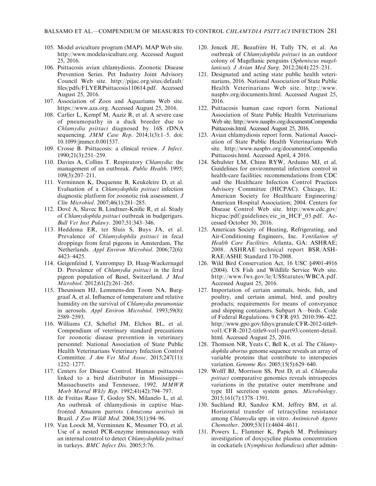- 105. Model aviculture program (MAP). MAP Web site. http://www.modelaviculture.org. Accessed August 25, 2016.
- 106. Psittacosis avian chlamydiosis. Zoonotic Disease Prevention Series. Pet Industry Joint Advisory Council Web site. http://pijac.org/sites/default/ files/pdfs/FLYERPsittacosis110614.pdf. Accessed August 25, 2016.
- 107. Association of Zoos and Aquariums Web site. https://www.aza.org. Accessed August 25, 2016.
- 108. Carlier L, Kempf M, Aaziz R, et al. A severe case of pneumopathy in a duck breeder due to Chlamydia psittaci diagnosed by 16S rDNA sequencing. JMM Case Rep. 2014;1(3):1-5. doi: 10.1099/jmmcr.0.001537.
- 109. Crosse B. Psittacosis: a clinical review. J Infect. 1990;21(3):251–259.
- 110. Davies A, Collins T. Respiratory Chlamydia: the management of an outbreak. Public Health. 1995; 109(3):207–211.
- 111. Verminnen K, Duquenne B, Keukeleire D, et al. Evaluation of a Chlamydophila psittaci infection diagnostic platform for zoonotic risk assessment. J Clin Microbiol. 2007;46(1):281–285.
- 112. Dovč A, Slavec B, Lindtner-Knific R, et al. Study of Chlamydophila psittaci outbreak in budgerigars. Bull Vet Inst Pulawy. 2007;51:343–346.
- 113. Heddema ER, ter Sluis S, Buys JA, et al. Prevalence of Chlamydophila psittaci in fecal droppings from feral pigeons in Amsterdam, The Netherlands. Appl Environ Microbiol. 2006;72(6): 4423–4425.
- 114. Geigenfeind I, Vanrompay D, Haag-Wackernagel D. Prevalence of Chlamydia psittaci in the feral pigeon population of Basel, Switzerland. J Med Microbiol. 2012;61(2):261–265.
- 115. Theunissen HJ, Lemmens-den Toom NA, Burggraaf A, et al. Influence of temperature and relative humidity on the survival of Chlamydia pneumoniae in aerosols. Appl Environ Microbiol. 1993;59(8): 2589–2593.
- 116. Williams CJ, Scheftel JM, Elchos BL, et al. Compendium of veterinary standard precautions for zoonotic disease prevention in veterinary personnel: National Association of State Public Health Veterinarians Veterinary Infection Control Committee. J Am Vet Med Assoc. 2015;247(11): 1252–1277.
- 117. Centers for Disease Control. Human psittacosis linked to a bird distributor in Mississippi— Massachusetts and Tennessee, 1992. MMWR Morb Mortal Wkly Rep. 1992;41(42):794–797.
- 118. de Freitas Raso T, Godoy SN, Milanelo L, et al. An outbreak of chlamydiosis in captive bluefronted Amazon parrots (Amazona aestiva) in Brazil. J Zoo Wildl Med. 2004;35(1):94–96.
- 119. Van Loock M, Verminnen K, Messmer TO, et al. Use of a nested PCR-enzyme immunoassay with an internal control to detect Chlamydophila psittaci in turkeys. BMC Infect Dis. 2005;5:76.
- 120. Jencek JE, Beaufrère H, Tully TN, et al. An outbreak of Chlamydophila psittaci in an outdoor colony of Magellanic penguins (Spheniscus magellanicus). J Avian Med Surg. 2012;26(4):225–231.
- 121. Designated and acting state public health veterinarians, 2016. National Association of State Public Health Veterinarians Web site. http://www. nasphv.org/documents.html. Accessed August 25, 2016.
- 122. Psittacosis human case report form. National Association of State Public Health Veterinarians Web site. http://www.nasphv.org/documentsCompendia Psittacosis.html. Accessed August 25, 2016.
- 123. Avian chlamydiosis report form. National Association of State Public Health Veterinarians Web site. http://www.nasphv.org/documentsCompendia Psittacosis.html. Accessed April, 4 2016.
- 124. Sehulster LM, Chinn RYW, Arduino MJ, et al. Guidelines for environmental infection control in health-care facilities: recommendations from CDC and the Healthcare Infection Control Practices Advisory Committee (HICPAC). Chicago, IL: American Society for Healthcare Engineering/ American Hospital Association; 2004. Centers for Disease Control Web site. http://www.cdc.gov/ hicpac/pdf/guidelines/eic\_in\_HCF\_03.pdf. Accessed October 30, 2016.
- 125. American Society of Heating, Refrigerating, and Air-Conditioning Engineers, Inc. Ventilation of Health Care Facilities. Atlanta, GA: ASHRAE; 2008. ASHRAE technical report BSR/ASH-RAE/ASHE Standard 170-2008.
- 126. Wild Bird Conservation Act, 16 USC §4901-4916 (2004). US Fish and Wildlife Service Web site. http://www.fws.gov/le/USStatutes/WBCA.pdf. Accessed August 25, 2016.
- 127. Importation of certain animals, birds, fish, and poultry, and certain animal, bird, and poultry products; requirements for means of conveyance and shipping containers. Subpart A—birds. Code of Federal Regulations. 9 CFR §93. 2010:396–422. http://www.gpo.gov/fdsys/granule/CFR-2012-title9 vol1/CFR-2012-title9-vol1-part93/content-detail. html. Accessed August 25, 2016.
- 128. Thomson NR, Yeats C, Bell K, et al. The Chlamydophila abortus genome sequence reveals an array of variable proteins that contribute to interspecies variation. Genome Res. 2005;15(5):629–640.
- 129. Wolff BJ, Morrison SS, Pest D, et al. Chlamydia psittaci comparative genomics reveals intraspecies variations in the putative outer membrane and type III secretion system genes. Microbiology. 2015;161(7):1378–1391.
- 130. Suchland RJ, Sandoz KM, Jeffrey BM, et al. Horizontal transfer of tetracycline resistance among Chlamydia spp. in vitro. Antimicrob Agents Chemother. 2009;53(11):4604–4611.
- 131. Powers L, Flammer K, Papich M. Preliminary investigation of doxycycline plasma concentration in cockatiels (Nymphicus hollandicus) after admin-